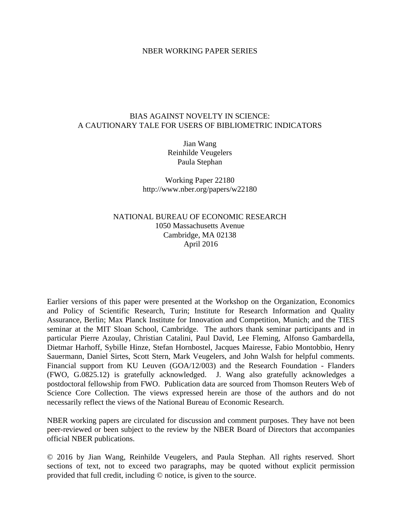#### NBER WORKING PAPER SERIES

## BIAS AGAINST NOVELTY IN SCIENCE: A CAUTIONARY TALE FOR USERS OF BIBLIOMETRIC INDICATORS

Jian Wang Reinhilde Veugelers Paula Stephan

Working Paper 22180 http://www.nber.org/papers/w22180

## NATIONAL BUREAU OF ECONOMIC RESEARCH 1050 Massachusetts Avenue Cambridge, MA 02138 April 2016

Earlier versions of this paper were presented at the Workshop on the Organization, Economics and Policy of Scientific Research, Turin; Institute for Research Information and Quality Assurance, Berlin; Max Planck Institute for Innovation and Competition, Munich; and the TIES seminar at the MIT Sloan School, Cambridge. The authors thank seminar participants and in particular Pierre Azoulay, Christian Catalini, Paul David, Lee Fleming, Alfonso Gambardella, Dietmar Harhoff, Sybille Hinze, Stefan Hornbostel, Jacques Mairesse, Fabio Montobbio, Henry Sauermann, Daniel Sirtes, Scott Stern, Mark Veugelers, and John Walsh for helpful comments. Financial support from KU Leuven (GOA/12/003) and the Research Foundation - Flanders (FWO, G.0825.12) is gratefully acknowledged. J. Wang also gratefully acknowledges a postdoctoral fellowship from FWO. Publication data are sourced from Thomson Reuters Web of Science Core Collection. The views expressed herein are those of the authors and do not necessarily reflect the views of the National Bureau of Economic Research.

NBER working papers are circulated for discussion and comment purposes. They have not been peer-reviewed or been subject to the review by the NBER Board of Directors that accompanies official NBER publications.

© 2016 by Jian Wang, Reinhilde Veugelers, and Paula Stephan. All rights reserved. Short sections of text, not to exceed two paragraphs, may be quoted without explicit permission provided that full credit, including © notice, is given to the source.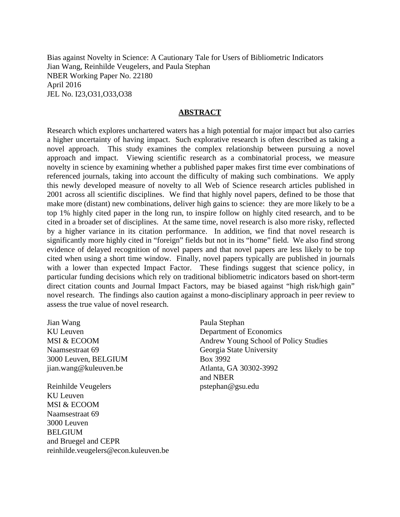Bias against Novelty in Science: A Cautionary Tale for Users of Bibliometric Indicators Jian Wang, Reinhilde Veugelers, and Paula Stephan NBER Working Paper No. 22180 April 2016 JEL No. I23,O31,O33,O38

#### **ABSTRACT**

Research which explores unchartered waters has a high potential for major impact but also carries a higher uncertainty of having impact. Such explorative research is often described as taking a novel approach. This study examines the complex relationship between pursuing a novel approach and impact. Viewing scientific research as a combinatorial process, we measure novelty in science by examining whether a published paper makes first time ever combinations of referenced journals, taking into account the difficulty of making such combinations. We apply this newly developed measure of novelty to all Web of Science research articles published in 2001 across all scientific disciplines. We find that highly novel papers, defined to be those that make more (distant) new combinations, deliver high gains to science: they are more likely to be a top 1% highly cited paper in the long run, to inspire follow on highly cited research, and to be cited in a broader set of disciplines. At the same time, novel research is also more risky, reflected by a higher variance in its citation performance. In addition, we find that novel research is significantly more highly cited in "foreign" fields but not in its "home" field. We also find strong evidence of delayed recognition of novel papers and that novel papers are less likely to be top cited when using a short time window. Finally, novel papers typically are published in journals with a lower than expected Impact Factor. These findings suggest that science policy, in particular funding decisions which rely on traditional bibliometric indicators based on short-term direct citation counts and Journal Impact Factors, may be biased against "high risk/high gain" novel research. The findings also caution against a mono-disciplinary approach in peer review to assess the true value of novel research.

Jian Wang KU Leuven MSI & ECOOM Naamsestraat 69 3000 Leuven, BELGIUM jian.wang@kuleuven.be

Reinhilde Veugelers KU Leuven MSI & ECOOM Naamsestraat 69 3000 Leuven BELGIUM and Bruegel and CEPR reinhilde.veugelers@econ.kuleuven.be

Paula Stephan Department of Economics Andrew Young School of Policy Studies Georgia State University Box 3992 Atlanta, GA 30302-3992 and NBER pstephan@gsu.edu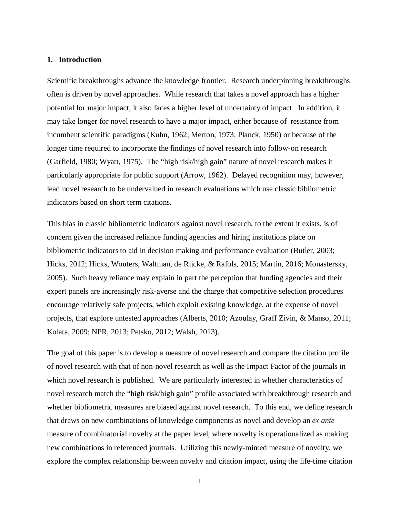#### **1. Introduction**

Scientific breakthroughs advance the knowledge frontier. Research underpinning breakthroughs often is driven by novel approaches. While research that takes a novel approach has a higher potential for major impact, it also faces a higher level of uncertainty of impact. In addition, it may take longer for novel research to have a major impact, either because of resistance from incumbent scientific paradigms (Kuhn, 1962; Merton, 1973; Planck, 1950) or because of the longer time required to incorporate the findings of novel research into follow-on research (Garfield, 1980; Wyatt, 1975). The "high risk/high gain" nature of novel research makes it particularly appropriate for public support (Arrow, 1962). Delayed recognition may, however, lead novel research to be undervalued in research evaluations which use classic bibliometric indicators based on short term citations.

This bias in classic bibliometric indicators against novel research, to the extent it exists, is of concern given the increased reliance funding agencies and hiring institutions place on bibliometric indicators to aid in decision making and performance evaluation (Butler, 2003; Hicks, 2012; Hicks, Wouters, Waltman, de Rijcke, & Rafols, 2015; Martin, 2016; Monastersky, 2005). Such heavy reliance may explain in part the perception that funding agencies and their expert panels are increasingly risk-averse and the charge that competitive selection procedures encourage relatively safe projects, which exploit existing knowledge, at the expense of novel projects, that explore untested approaches (Alberts, 2010; Azoulay, Graff Zivin, & Manso, 2011; Kolata, 2009; NPR, 2013; Petsko, 2012; Walsh, 2013).

The goal of this paper is to develop a measure of novel research and compare the citation profile of novel research with that of non-novel research as well as the Impact Factor of the journals in which novel research is published. We are particularly interested in whether characteristics of novel research match the "high risk/high gain" profile associated with breakthrough research and whether bibliometric measures are biased against novel research. To this end, we define research that draws on new combinations of knowledge components as novel and develop an *ex ante* measure of combinatorial novelty at the paper level, where novelty is operationalized as making new combinations in referenced journals. Utilizing this newly-minted measure of novelty, we explore the complex relationship between novelty and citation impact, using the life-time citation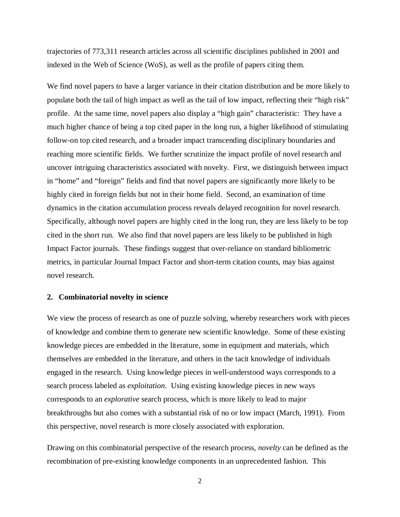trajectories of 773,311 research articles across all scientific disciplines published in 2001 and indexed in the Web of Science (WoS), as well as the profile of papers citing them.

We find novel papers to have a larger variance in their citation distribution and be more likely to populate both the tail of high impact as well as the tail of low impact, reflecting their "high risk" profile. At the same time, novel papers also display a "high gain" characteristic: They have a much higher chance of being a top cited paper in the long run, a higher likelihood of stimulating follow-on top cited research, and a broader impact transcending disciplinary boundaries and reaching more scientific fields. We further scrutinize the impact profile of novel research and uncover intriguing characteristics associated with novelty. First, we distinguish between impact in "home" and "foreign" fields and find that novel papers are significantly more likely to be highly cited in foreign fields but not in their home field. Second, an examination of time dynamics in the citation accumulation process reveals delayed recognition for novel research. Specifically, although novel papers are highly cited in the long run, they are less likely to be top cited in the short run. We also find that novel papers are less likely to be published in high Impact Factor journals. These findings suggest that over-reliance on standard bibliometric metrics, in particular Journal Impact Factor and short-term citation counts, may bias against novel research.

#### **2. Combinatorial novelty in science**

We view the process of research as one of puzzle solving, whereby researchers work with pieces of knowledge and combine them to generate new scientific knowledge. Some of these existing knowledge pieces are embedded in the literature, some in equipment and materials, which themselves are embedded in the literature, and others in the tacit knowledge of individuals engaged in the research. Using knowledge pieces in well-understood ways corresponds to a search process labeled as *exploitation*. Using existing knowledge pieces in new ways corresponds to an *explorative* search process, which is more likely to lead to major breakthroughs but also comes with a substantial risk of no or low impact (March, 1991). From this perspective, novel research is more closely associated with exploration.

Drawing on this combinatorial perspective of the research process, *novelty* can be defined as the recombination of pre-existing knowledge components in an unprecedented fashion. This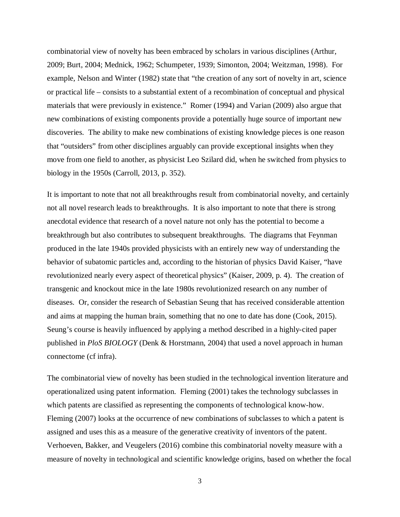combinatorial view of novelty has been embraced by scholars in various disciplines (Arthur, 2009; Burt, 2004; Mednick, 1962; Schumpeter, 1939; Simonton, 2004; Weitzman, 1998). For example, Nelson and Winter (1982) state that "the creation of any sort of novelty in art, science or practical life – consists to a substantial extent of a recombination of conceptual and physical materials that were previously in existence." Romer (1994) and Varian (2009) also argue that new combinations of existing components provide a potentially huge source of important new discoveries. The ability to make new combinations of existing knowledge pieces is one reason that "outsiders" from other disciplines arguably can provide exceptional insights when they move from one field to another, as physicist Leo Szilard did, when he switched from physics to biology in the 1950s (Carroll, 2013, p. 352).

It is important to note that not all breakthroughs result from combinatorial novelty, and certainly not all novel research leads to breakthroughs. It is also important to note that there is strong anecdotal evidence that research of a novel nature not only has the potential to become a breakthrough but also contributes to subsequent breakthroughs. The diagrams that Feynman produced in the late 1940s provided physicists with an entirely new way of understanding the behavior of subatomic particles and, according to the historian of physics David Kaiser, "have revolutionized nearly every aspect of theoretical physics" (Kaiser, 2009, p. 4). The creation of transgenic and knockout mice in the late 1980s revolutionized research on any number of diseases. Or, consider the research of Sebastian Seung that has received considerable attention and aims at mapping the human brain, something that no one to date has done (Cook, 2015). Seung's course is heavily influenced by applying a method described in a highly-cited paper published in *PloS BIOLOGY* (Denk & Horstmann, 2004) that used a novel approach in human connectome (cf infra).

The combinatorial view of novelty has been studied in the technological invention literature and operationalized using patent information. Fleming (2001) takes the technology subclasses in which patents are classified as representing the components of technological know-how. Fleming (2007) looks at the occurrence of new combinations of subclasses to which a patent is assigned and uses this as a measure of the generative creativity of inventors of the patent. Verhoeven, Bakker, and Veugelers (2016) combine this combinatorial novelty measure with a measure of novelty in technological and scientific knowledge origins, based on whether the focal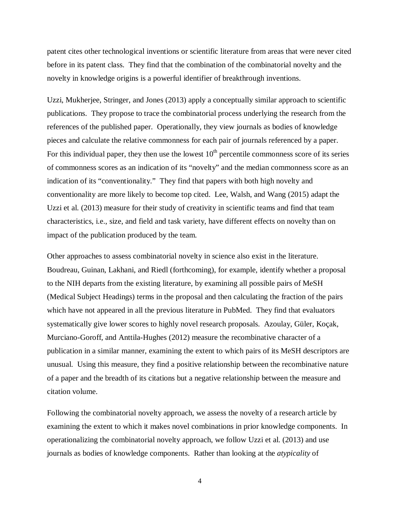patent cites other technological inventions or scientific literature from areas that were never cited before in its patent class. They find that the combination of the combinatorial novelty and the novelty in knowledge origins is a powerful identifier of breakthrough inventions.

Uzzi, Mukherjee, Stringer, and Jones (2013) apply a conceptually similar approach to scientific publications. They propose to trace the combinatorial process underlying the research from the references of the published paper. Operationally, they view journals as bodies of knowledge pieces and calculate the relative commonness for each pair of journals referenced by a paper. For this individual paper, they then use the lowest  $10<sup>th</sup>$  percentile commonness score of its series of commonness scores as an indication of its "novelty" and the median commonness score as an indication of its "conventionality." They find that papers with both high novelty and conventionality are more likely to become top cited. Lee, Walsh, and Wang (2015) adapt the Uzzi et al. (2013) measure for their study of creativity in scientific teams and find that team characteristics, i.e., size, and field and task variety, have different effects on novelty than on impact of the publication produced by the team.

Other approaches to assess combinatorial novelty in science also exist in the literature. Boudreau, Guinan, Lakhani, and Riedl (forthcoming), for example, identify whether a proposal to the NIH departs from the existing literature, by examining all possible pairs of MeSH (Medical Subject Headings) terms in the proposal and then calculating the fraction of the pairs which have not appeared in all the previous literature in PubMed. They find that evaluators systematically give lower scores to highly novel research proposals. Azoulay, Güler, Koçak, Murciano-Goroff, and Anttila-Hughes (2012) measure the recombinative character of a publication in a similar manner, examining the extent to which pairs of its MeSH descriptors are unusual. Using this measure, they find a positive relationship between the recombinative nature of a paper and the breadth of its citations but a negative relationship between the measure and citation volume.

Following the combinatorial novelty approach, we assess the novelty of a research article by examining the extent to which it makes novel combinations in prior knowledge components. In operationalizing the combinatorial novelty approach, we follow Uzzi et al. (2013) and use journals as bodies of knowledge components. Rather than looking at the *atypicality* of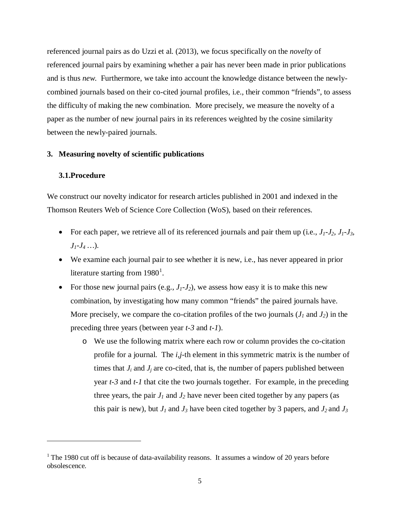referenced journal pairs as do Uzzi et al. (2013), we focus specifically on the *novelty* of referenced journal pairs by examining whether a pair has never been made in prior publications and is thus *new*. Furthermore, we take into account the knowledge distance between the newlycombined journals based on their co-cited journal profiles, i.e., their common "friends", to assess the difficulty of making the new combination. More precisely, we measure the novelty of a paper as the number of new journal pairs in its references weighted by the cosine similarity between the newly-paired journals.

#### **3. Measuring novelty of scientific publications**

## **3.1.Procedure**

 $\overline{a}$ 

We construct our novelty indicator for research articles published in 2001 and indexed in the Thomson Reuters Web of Science Core Collection (WoS), based on their references.

- For each paper, we retrieve all of its referenced journals and pair them up (i.e.,  $J_1-J_2$ ,  $J_1-J_3$ ,  $J_1-J_4$  ...).
- We examine each journal pair to see whether it is new, i.e., has never appeared in prior literature starting from  $1980<sup>1</sup>$  $1980<sup>1</sup>$ .
- For those new journal pairs  $(e.g., J_1-J_2)$ , we assess how easy it is to make this new combination, by investigating how many common "friends" the paired journals have. More precisely, we compare the co-citation profiles of the two journals  $(J_1 \text{ and } J_2)$  in the preceding three years (between year *t-3* and *t-1*).
	- o We use the following matrix where each row or column provides the co-citation profile for a journal. The *i,j*-th element in this symmetric matrix is the number of times that  $J_i$  and  $J_j$  are co-cited, that is, the number of papers published between year *t-3* and *t-1* that cite the two journals together. For example, in the preceding three years, the pair  $J_1$  and  $J_2$  have never been cited together by any papers (as this pair is new), but  $J_1$  and  $J_3$  have been cited together by 3 papers, and  $J_2$  and  $J_3$

<span id="page-6-0"></span><sup>&</sup>lt;sup>1</sup> The 1980 cut off is because of data-availability reasons. It assumes a window of 20 years before obsolescence.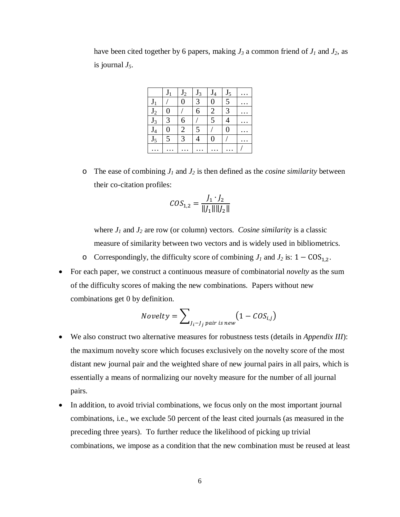| have been cited together by 6 papers, making $J_3$ a common friend of $J_1$ and $J_2$ , as |  |
|--------------------------------------------------------------------------------------------|--|
| is journal $J_5$ .                                                                         |  |

|                | $J_1$            | $J_2$          | $J_3$ | $J_4$            | $J_5$            |  |
|----------------|------------------|----------------|-------|------------------|------------------|--|
| $J_1$          |                  | $\overline{0}$ | 3     | $\overline{0}$   | 5                |  |
| $J_2$          | $\boldsymbol{0}$ |                | 6     | $\overline{2}$   | 3                |  |
| $\mathbf{J}_3$ | 3                | 6              |       | 5                |                  |  |
| $J_4$          | $\overline{0}$   | 2              | 5     |                  | $\boldsymbol{0}$ |  |
| $J_5$          | 5                | 3              | 4     | $\boldsymbol{0}$ |                  |  |
|                |                  |                |       |                  |                  |  |

o The ease of combining *J1* and *J2* is then defined as the *cosine similarity* between their co-citation profiles:

$$
COS_{1,2} = \frac{J_1 \cdot J_2}{\|J_1\| \|J_2\|}
$$

where  $J_1$  and  $J_2$  are row (or column) vectors. *Cosine similarity* is a classic measure of similarity between two vectors and is widely used in bibliometrics.

- o Correspondingly, the difficulty score of combining  $J_1$  and  $J_2$  is:  $1 \text{COS}_{1,2}$ .
- For each paper, we construct a continuous measure of combinatorial *novelty* as the sum of the difficulty scores of making the new combinations. Papers without new combinations get 0 by definition.

$$
Novelty = \sum_{J_i-J_j \,\text{pair is new}} (1 - \text{COS}_{i,j})
$$

- We also construct two alternative measures for robustness tests (details in *Appendix III*): the maximum novelty score which focuses exclusively on the novelty score of the most distant new journal pair and the weighted share of new journal pairs in all pairs, which is essentially a means of normalizing our novelty measure for the number of all journal pairs.
- In addition, to avoid trivial combinations, we focus only on the most important journal combinations, i.e., we exclude 50 percent of the least cited journals (as measured in the preceding three years). To further reduce the likelihood of picking up trivial combinations, we impose as a condition that the new combination must be reused at least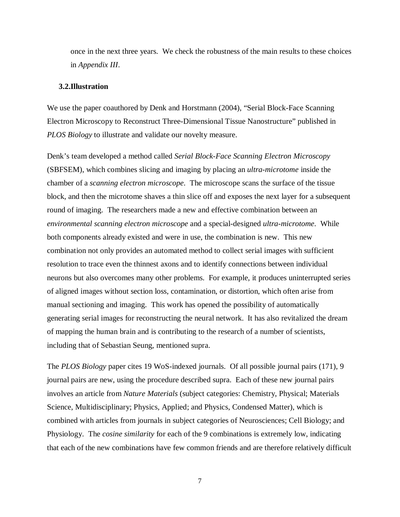once in the next three years. We check the robustness of the main results to these choices in *Appendix III*.

#### **3.2.Illustration**

We use the paper coauthored by Denk and Horstmann (2004), "Serial Block-Face Scanning Electron Microscopy to Reconstruct Three-Dimensional Tissue Nanostructure" published in *PLOS Biology* to illustrate and validate our novelty measure.

Denk's team developed a method called *Serial Block-Face Scanning Electron Microscopy*  (SBFSEM), which combines slicing and imaging by placing an *ultra-microtome* inside the chamber of a *scanning electron microscope*. The microscope scans the surface of the tissue block, and then the microtome shaves a thin slice off and exposes the next layer for a subsequent round of imaging. The researchers made a new and effective combination between an *environmental scanning electron microscope* and a special-designed *ultra-microtome*. While both components already existed and were in use, the combination is new. This new combination not only provides an automated method to collect serial images with sufficient resolution to trace even the thinnest axons and to identify connections between individual neurons but also overcomes many other problems. For example, it produces uninterrupted series of aligned images without section loss, contamination, or distortion, which often arise from manual sectioning and imaging. This work has opened the possibility of automatically generating serial images for reconstructing the neural network. It has also revitalized the dream of mapping the human brain and is contributing to the research of a number of scientists, including that of Sebastian Seung, mentioned supra.

The *PLOS Biology* paper cites 19 WoS-indexed journals. Of all possible journal pairs (171), 9 journal pairs are new, using the procedure described supra. Each of these new journal pairs involves an article from *Nature Materials* (subject categories: Chemistry, Physical; Materials Science, Multidisciplinary; Physics, Applied; and Physics, Condensed Matter), which is combined with articles from journals in subject categories of Neurosciences; Cell Biology; and Physiology. The *cosine similarity* for each of the 9 combinations is extremely low, indicating that each of the new combinations have few common friends and are therefore relatively difficult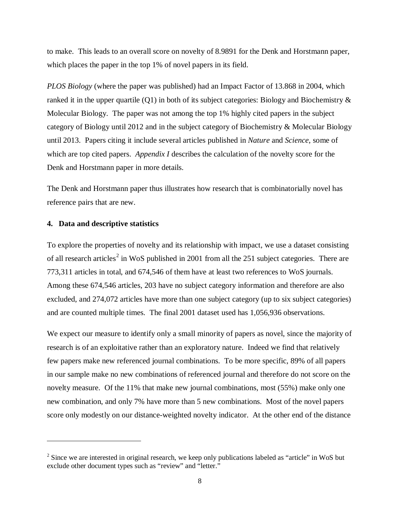to make. This leads to an overall score on novelty of 8.9891 for the Denk and Horstmann paper, which places the paper in the top 1% of novel papers in its field.

*PLOS Biology* (where the paper was published) had an Impact Factor of 13.868 in 2004, which ranked it in the upper quartile (Q1) in both of its subject categories: Biology and Biochemistry  $\&$ Molecular Biology. The paper was not among the top 1% highly cited papers in the subject category of Biology until 2012 and in the subject category of Biochemistry & Molecular Biology until 2013. Papers citing it include several articles published in *Nature* and *Science*, some of which are top cited papers. *Appendix I* describes the calculation of the novelty score for the Denk and Horstmann paper in more details.

The Denk and Horstmann paper thus illustrates how research that is combinatorially novel has reference pairs that are new.

## **4. Data and descriptive statistics**

 $\overline{a}$ 

To explore the properties of novelty and its relationship with impact, we use a dataset consisting of all research articles<sup>[2](#page-9-0)</sup> in WoS published in 2001 from all the 251 subject categories. There are 773,311 articles in total, and 674,546 of them have at least two references to WoS journals. Among these 674,546 articles, 203 have no subject category information and therefore are also excluded, and 274,072 articles have more than one subject category (up to six subject categories) and are counted multiple times. The final 2001 dataset used has 1,056,936 observations.

We expect our measure to identify only a small minority of papers as novel, since the majority of research is of an exploitative rather than an exploratory nature. Indeed we find that relatively few papers make new referenced journal combinations. To be more specific, 89% of all papers in our sample make no new combinations of referenced journal and therefore do not score on the novelty measure. Of the 11% that make new journal combinations, most (55%) make only one new combination, and only 7% have more than 5 new combinations. Most of the novel papers score only modestly on our distance-weighted novelty indicator. At the other end of the distance

<span id="page-9-0"></span><sup>&</sup>lt;sup>2</sup> Since we are interested in original research, we keep only publications labeled as "article" in WoS but exclude other document types such as "review" and "letter."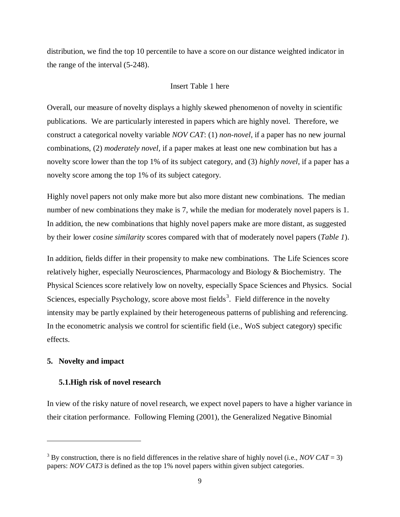distribution, we find the top 10 percentile to have a score on our distance weighted indicator in the range of the interval (5-248).

## Insert Table 1 here

Overall, our measure of novelty displays a highly skewed phenomenon of novelty in scientific publications. We are particularly interested in papers which are highly novel. Therefore, we construct a categorical novelty variable *NOV CAT*: (1) *non-novel*, if a paper has no new journal combinations, (2) *moderately novel*, if a paper makes at least one new combination but has a novelty score lower than the top 1% of its subject category, and (3) *highly novel*, if a paper has a novelty score among the top 1% of its subject category.

Highly novel papers not only make more but also more distant new combinations. The median number of new combinations they make is 7, while the median for moderately novel papers is 1. In addition, the new combinations that highly novel papers make are more distant, as suggested by their lower *cosine similarity* scores compared with that of moderately novel papers (*Table 1*).

In addition, fields differ in their propensity to make new combinations. The Life Sciences score relatively higher, especially Neurosciences, Pharmacology and Biology & Biochemistry. The Physical Sciences score relatively low on novelty, especially Space Sciences and Physics. Social Sciences, especially Psychology, score above most fields<sup>[3](#page-10-0)</sup>. Field difference in the novelty intensity may be partly explained by their heterogeneous patterns of publishing and referencing. In the econometric analysis we control for scientific field (i.e., WoS subject category) specific effects.

## **5. Novelty and impact**

 $\overline{a}$ 

## **5.1.High risk of novel research**

In view of the risky nature of novel research, we expect novel papers to have a higher variance in their citation performance. Following Fleming (2001), the Generalized Negative Binomial

<span id="page-10-0"></span> $3$  By construction, there is no field differences in the relative share of highly novel (i.e., *NOV CAT* = 3) papers: *NOV CAT3* is defined as the top 1% novel papers within given subject categories.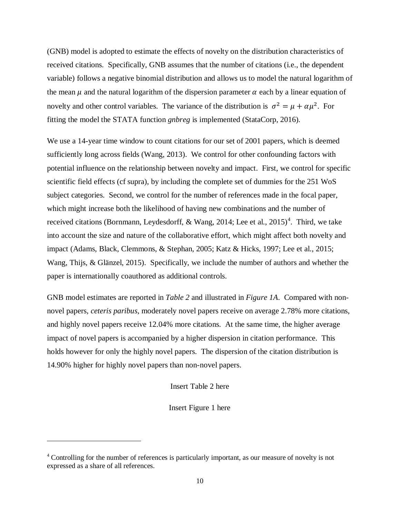(GNB) model is adopted to estimate the effects of novelty on the distribution characteristics of received citations. Specifically, GNB assumes that the number of citations (i.e., the dependent variable) follows a negative binomial distribution and allows us to model the natural logarithm of the mean  $\mu$  and the natural logarithm of the dispersion parameter  $\alpha$  each by a linear equation of novelty and other control variables. The variance of the distribution is  $\sigma^2 = \mu + \alpha \mu^2$ . For fitting the model the STATA function *gnbreg* is implemented (StataCorp, 2016).

We use a 14-year time window to count citations for our set of 2001 papers, which is deemed sufficiently long across fields (Wang, 2013). We control for other confounding factors with potential influence on the relationship between novelty and impact. First, we control for specific scientific field effects (cf supra), by including the complete set of dummies for the 251 WoS subject categories. Second, we control for the number of references made in the focal paper, which might increase both the likelihood of having new combinations and the number of received citations (Bornmann, Leydesdorff, & Wang, 201[4](#page-11-0); Lee et al., 2015)<sup>4</sup>. Third, we take into account the size and nature of the collaborative effort, which might affect both novelty and impact (Adams, Black, Clemmons, & Stephan, 2005; Katz & Hicks, 1997; Lee et al., 2015; Wang, Thijs, & Glänzel, 2015). Specifically, we include the number of authors and whether the paper is internationally coauthored as additional controls.

GNB model estimates are reported in *Table 2* and illustrated in *Figure 1A*. Compared with nonnovel papers, *ceteris paribus*, moderately novel papers receive on average 2.78% more citations, and highly novel papers receive 12.04% more citations. At the same time, the higher average impact of novel papers is accompanied by a higher dispersion in citation performance. This holds however for only the highly novel papers. The dispersion of the citation distribution is 14.90% higher for highly novel papers than non-novel papers.

Insert Table 2 here

Insert Figure 1 here

 $\overline{a}$ 

<span id="page-11-0"></span><sup>&</sup>lt;sup>4</sup> Controlling for the number of references is particularly important, as our measure of novelty is not expressed as a share of all references.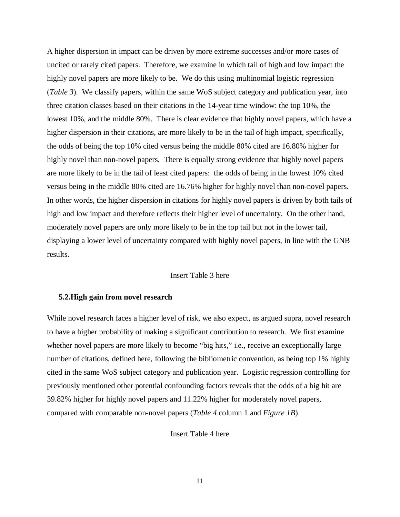A higher dispersion in impact can be driven by more extreme successes and/or more cases of uncited or rarely cited papers. Therefore, we examine in which tail of high and low impact the highly novel papers are more likely to be. We do this using multinomial logistic regression (*Table 3*). We classify papers, within the same WoS subject category and publication year, into three citation classes based on their citations in the 14-year time window: the top 10%, the lowest 10%, and the middle 80%. There is clear evidence that highly novel papers, which have a higher dispersion in their citations, are more likely to be in the tail of high impact, specifically, the odds of being the top 10% cited versus being the middle 80% cited are 16.80% higher for highly novel than non-novel papers. There is equally strong evidence that highly novel papers are more likely to be in the tail of least cited papers: the odds of being in the lowest 10% cited versus being in the middle 80% cited are 16.76% higher for highly novel than non-novel papers. In other words, the higher dispersion in citations for highly novel papers is driven by both tails of high and low impact and therefore reflects their higher level of uncertainty. On the other hand, moderately novel papers are only more likely to be in the top tail but not in the lower tail, displaying a lower level of uncertainty compared with highly novel papers, in line with the GNB results.

#### Insert Table 3 here

#### **5.2.High gain from novel research**

While novel research faces a higher level of risk, we also expect, as argued supra, novel research to have a higher probability of making a significant contribution to research. We first examine whether novel papers are more likely to become "big hits," i.e., receive an exceptionally large number of citations, defined here, following the bibliometric convention, as being top 1% highly cited in the same WoS subject category and publication year. Logistic regression controlling for previously mentioned other potential confounding factors reveals that the odds of a big hit are 39.82% higher for highly novel papers and 11.22% higher for moderately novel papers, compared with comparable non-novel papers (*Table 4* column 1 and *Figure 1B*).

Insert Table 4 here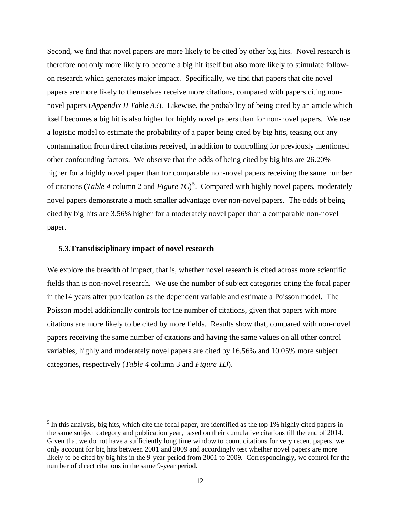Second, we find that novel papers are more likely to be cited by other big hits. Novel research is therefore not only more likely to become a big hit itself but also more likely to stimulate followon research which generates major impact. Specifically, we find that papers that cite novel papers are more likely to themselves receive more citations, compared with papers citing nonnovel papers (*Appendix II Table A3*). Likewise, the probability of being cited by an article which itself becomes a big hit is also higher for highly novel papers than for non-novel papers. We use a logistic model to estimate the probability of a paper being cited by big hits, teasing out any contamination from direct citations received, in addition to controlling for previously mentioned other confounding factors. We observe that the odds of being cited by big hits are 26.20% higher for a highly novel paper than for comparable non-novel papers receiving the same number of citations (*Table 4* column 2 and *Figure 1C*) [5](#page-13-0) . Compared with highly novel papers, moderately novel papers demonstrate a much smaller advantage over non-novel papers. The odds of being cited by big hits are 3.56% higher for a moderately novel paper than a comparable non-novel paper.

#### **5.3.Transdisciplinary impact of novel research**

 $\overline{a}$ 

We explore the breadth of impact, that is, whether novel research is cited across more scientific fields than is non-novel research. We use the number of subject categories citing the focal paper in the14 years after publication as the dependent variable and estimate a Poisson model. The Poisson model additionally controls for the number of citations, given that papers with more citations are more likely to be cited by more fields. Results show that, compared with non-novel papers receiving the same number of citations and having the same values on all other control variables, highly and moderately novel papers are cited by 16.56% and 10.05% more subject categories, respectively (*Table 4* column 3 and *Figure 1D*).

<span id="page-13-0"></span> $<sup>5</sup>$  In this analysis, big hits, which cite the focal paper, are identified as the top 1% highly cited papers in</sup> the same subject category and publication year, based on their cumulative citations till the end of 2014. Given that we do not have a sufficiently long time window to count citations for very recent papers, we only account for big hits between 2001 and 2009 and accordingly test whether novel papers are more likely to be cited by big hits in the 9-year period from 2001 to 2009. Correspondingly, we control for the number of direct citations in the same 9-year period.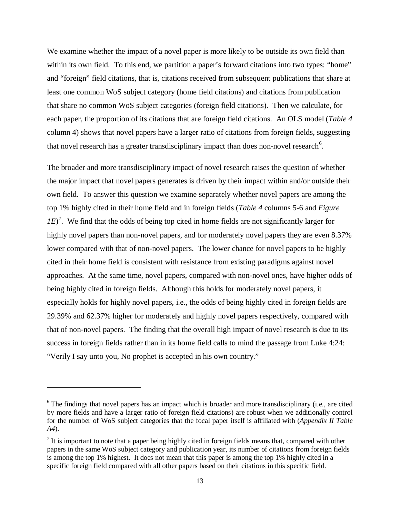We examine whether the impact of a novel paper is more likely to be outside its own field than within its own field. To this end, we partition a paper's forward citations into two types: "home" and "foreign" field citations, that is, citations received from subsequent publications that share at least one common WoS subject category (home field citations) and citations from publication that share no common WoS subject categories (foreign field citations). Then we calculate, for each paper, the proportion of its citations that are foreign field citations. An OLS model (*Table 4*  column 4) shows that novel papers have a larger ratio of citations from foreign fields, suggesting that novel research has a greater transdisciplinary impact than does non-novel research<sup>[6](#page-14-0)</sup>.

The broader and more transdisciplinary impact of novel research raises the question of whether the major impact that novel papers generates is driven by their impact within and/or outside their own field. To answer this question we examine separately whether novel papers are among the top 1% highly cited in their home field and in foreign fields (*Table 4* columns 5-6 and *Figure IE*)<sup>[7](#page-14-1)</sup>. We find that the odds of being top cited in home fields are not significantly larger for highly novel papers than non-novel papers, and for moderately novel papers they are even 8.37% lower compared with that of non-novel papers. The lower chance for novel papers to be highly cited in their home field is consistent with resistance from existing paradigms against novel approaches. At the same time, novel papers, compared with non-novel ones, have higher odds of being highly cited in foreign fields. Although this holds for moderately novel papers, it especially holds for highly novel papers, i.e., the odds of being highly cited in foreign fields are 29.39% and 62.37% higher for moderately and highly novel papers respectively, compared with that of non-novel papers. The finding that the overall high impact of novel research is due to its success in foreign fields rather than in its home field calls to mind the passage from Luke 4:24: "Verily I say unto you, No prophet is accepted in his own country."

 $\overline{a}$ 

<span id="page-14-0"></span><sup>&</sup>lt;sup>6</sup> The findings that novel papers has an impact which is broader and more transdisciplinary (i.e., are cited by more fields and have a larger ratio of foreign field citations) are robust when we additionally control for the number of WoS subject categories that the focal paper itself is affiliated with (*Appendix II Table A4*).

<span id="page-14-1"></span> $<sup>7</sup>$  It is important to note that a paper being highly cited in foreign fields means that, compared with other</sup> papers in the same WoS subject category and publication year, its number of citations from foreign fields is among the top 1% highest. It does not mean that this paper is among the top 1% highly cited in a specific foreign field compared with all other papers based on their citations in this specific field.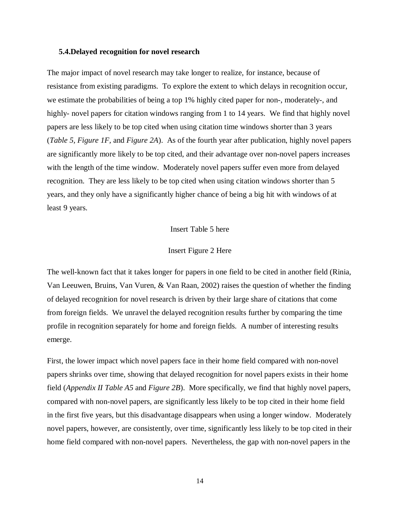## **5.4.Delayed recognition for novel research**

The major impact of novel research may take longer to realize, for instance, because of resistance from existing paradigms. To explore the extent to which delays in recognition occur, we estimate the probabilities of being a top 1% highly cited paper for non-, moderately-, and highly- novel papers for citation windows ranging from 1 to 14 years. We find that highly novel papers are less likely to be top cited when using citation time windows shorter than 3 years (*Table 5, Figure 1F,* and *Figure 2A*). As of the fourth year after publication, highly novel papers are significantly more likely to be top cited, and their advantage over non-novel papers increases with the length of the time window. Moderately novel papers suffer even more from delayed recognition. They are less likely to be top cited when using citation windows shorter than 5 years, and they only have a significantly higher chance of being a big hit with windows of at least 9 years.

## Insert Table 5 here

#### Insert Figure 2 Here

The well-known fact that it takes longer for papers in one field to be cited in another field (Rinia, Van Leeuwen, Bruins, Van Vuren, & Van Raan, 2002) raises the question of whether the finding of delayed recognition for novel research is driven by their large share of citations that come from foreign fields. We unravel the delayed recognition results further by comparing the time profile in recognition separately for home and foreign fields. A number of interesting results emerge.

First, the lower impact which novel papers face in their home field compared with non-novel papers shrinks over time, showing that delayed recognition for novel papers exists in their home field (*Appendix II Table A5* and *Figure 2B*). More specifically, we find that highly novel papers, compared with non-novel papers, are significantly less likely to be top cited in their home field in the first five years, but this disadvantage disappears when using a longer window. Moderately novel papers, however, are consistently, over time, significantly less likely to be top cited in their home field compared with non-novel papers. Nevertheless, the gap with non-novel papers in the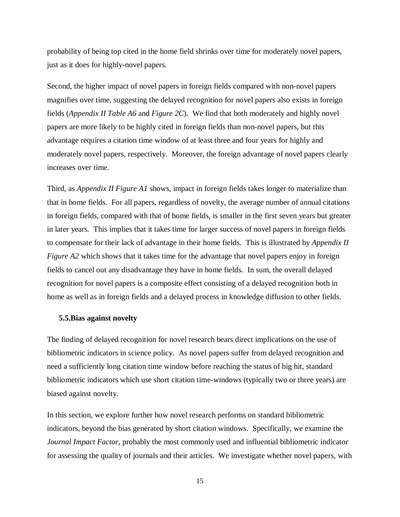probability of being top cited in the home field shrinks over time for moderately novel papers, just as it does for highly-novel papers.

Second, the higher impact of novel papers in foreign fields compared with non-novel papers magnifies over time, suggesting the delayed recognition for novel papers also exists in foreign fields (*Appendix II Table A6* and *Figure 2C*). We find that both moderately and highly novel papers are more likely to be highly cited in foreign fields than non-novel papers, but this advantage requires a citation time window of at least three and four years for highly and moderately novel papers, respectively. Moreover, the foreign advantage of novel papers clearly increases over time.

Third, as *Appendix II Figure A1* shows, impact in foreign fields takes longer to materialize than that in home fields. For all papers, regardless of novelty, the average number of annual citations in foreign fields, compared with that of home fields, is smaller in the first seven years but greater in later years. This implies that it takes time for larger success of novel papers in foreign fields to compensate for their lack of advantage in their home fields. This is illustrated by *Appendix II Figure A2* which shows that it takes time for the advantage that novel papers enjoy in foreign fields to cancel out any disadvantage they have in home fields*.* In sum, the overall delayed recognition for novel papers is a composite effect consisting of a delayed recognition both in home as well as in foreign fields and a delayed process in knowledge diffusion to other fields.

#### **5.5.Bias against novelty**

The finding of delayed recognition for novel research bears direct implications on the use of bibliometric indicators in science policy. As novel papers suffer from delayed recognition and need a sufficiently long citation time window before reaching the status of big hit, standard bibliometric indicators which use short citation time-windows (typically two or three years) are biased against novelty.

In this section, we explore further how novel research performs on standard bibliometric indicators, beyond the bias generated by short citation windows. Specifically, we examine the *Journal Impact Factor*, probably the most commonly used and influential bibliometric indicator for assessing the quality of journals and their articles. We investigate whether novel papers, with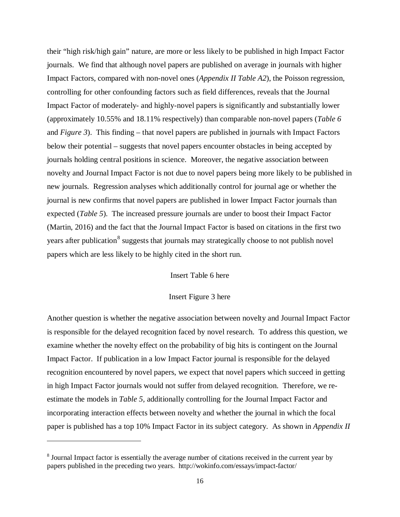their "high risk/high gain" nature, are more or less likely to be published in high Impact Factor journals. We find that although novel papers are published on average in journals with higher Impact Factors, compared with non-novel ones (*Appendix II Table A2*), the Poisson regression, controlling for other confounding factors such as field differences, reveals that the Journal Impact Factor of moderately- and highly-novel papers is significantly and substantially lower (approximately 10.55% and 18.11% respectively) than comparable non-novel papers (*Table 6*  and *Figure 3*). This finding – that novel papers are published in journals with Impact Factors below their potential – suggests that novel papers encounter obstacles in being accepted by journals holding central positions in science. Moreover, the negative association between novelty and Journal Impact Factor is not due to novel papers being more likely to be published in new journals. Regression analyses which additionally control for journal age or whether the journal is new confirms that novel papers are published in lower Impact Factor journals than expected (*Table 5*). The increased pressure journals are under to boost their Impact Factor (Martin, 2016) and the fact that the Journal Impact Factor is based on citations in the first two years after publication<sup>[8](#page-17-0)</sup> suggests that journals may strategically choose to not publish novel papers which are less likely to be highly cited in the short run.

#### Insert Table 6 here

#### Insert Figure 3 here

Another question is whether the negative association between novelty and Journal Impact Factor is responsible for the delayed recognition faced by novel research. To address this question, we examine whether the novelty effect on the probability of big hits is contingent on the Journal Impact Factor. If publication in a low Impact Factor journal is responsible for the delayed recognition encountered by novel papers, we expect that novel papers which succeed in getting in high Impact Factor journals would not suffer from delayed recognition. Therefore, we reestimate the models in *Table 5,* additionally controlling for the Journal Impact Factor and incorporating interaction effects between novelty and whether the journal in which the focal paper is published has a top 10% Impact Factor in its subject category. As shown in *Appendix II* 

 $\overline{a}$ 

<span id="page-17-0"></span><sup>8</sup> Journal Impact factor is essentially the average number of citations received in the current year by papers published in the preceding two years. http://wokinfo.com/essays/impact-factor/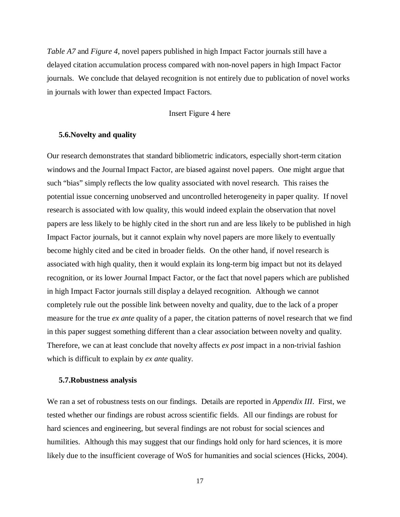*Table A7* and *Figure 4*, novel papers published in high Impact Factor journals still have a delayed citation accumulation process compared with non-novel papers in high Impact Factor journals. We conclude that delayed recognition is not entirely due to publication of novel works in journals with lower than expected Impact Factors.

#### Insert Figure 4 here

## **5.6.Novelty and quality**

Our research demonstrates that standard bibliometric indicators, especially short-term citation windows and the Journal Impact Factor, are biased against novel papers. One might argue that such "bias" simply reflects the low quality associated with novel research. This raises the potential issue concerning unobserved and uncontrolled heterogeneity in paper quality. If novel research is associated with low quality, this would indeed explain the observation that novel papers are less likely to be highly cited in the short run and are less likely to be published in high Impact Factor journals, but it cannot explain why novel papers are more likely to eventually become highly cited and be cited in broader fields. On the other hand, if novel research is associated with high quality, then it would explain its long-term big impact but not its delayed recognition, or its lower Journal Impact Factor, or the fact that novel papers which are published in high Impact Factor journals still display a delayed recognition. Although we cannot completely rule out the possible link between novelty and quality, due to the lack of a proper measure for the true *ex ante* quality of a paper, the citation patterns of novel research that we find in this paper suggest something different than a clear association between novelty and quality. Therefore, we can at least conclude that novelty affects *ex post* impact in a non-trivial fashion which is difficult to explain by *ex ante* quality.

#### **5.7.Robustness analysis**

We ran a set of robustness tests on our findings. Details are reported in *Appendix III*. First, we tested whether our findings are robust across scientific fields. All our findings are robust for hard sciences and engineering, but several findings are not robust for social sciences and humilities. Although this may suggest that our findings hold only for hard sciences, it is more likely due to the insufficient coverage of WoS for humanities and social sciences (Hicks, 2004).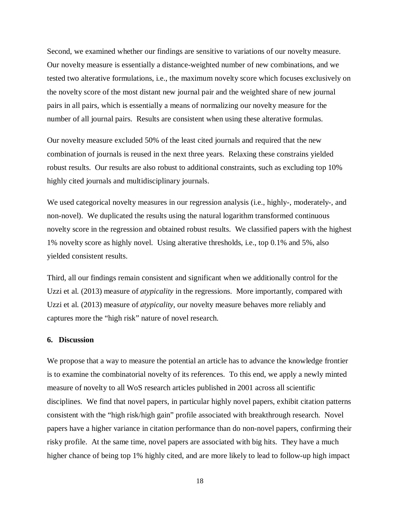Second, we examined whether our findings are sensitive to variations of our novelty measure. Our novelty measure is essentially a distance-weighted number of new combinations, and we tested two alterative formulations, i.e., the maximum novelty score which focuses exclusively on the novelty score of the most distant new journal pair and the weighted share of new journal pairs in all pairs, which is essentially a means of normalizing our novelty measure for the number of all journal pairs. Results are consistent when using these alterative formulas.

Our novelty measure excluded 50% of the least cited journals and required that the new combination of journals is reused in the next three years. Relaxing these constrains yielded robust results. Our results are also robust to additional constraints, such as excluding top 10% highly cited journals and multidisciplinary journals.

We used categorical novelty measures in our regression analysis (i.e., highly-, moderately-, and non-novel). We duplicated the results using the natural logarithm transformed continuous novelty score in the regression and obtained robust results. We classified papers with the highest 1% novelty score as highly novel. Using alterative thresholds, i.e., top 0.1% and 5%, also yielded consistent results.

Third, all our findings remain consistent and significant when we additionally control for the Uzzi et al. (2013) measure of *atypicality* in the regressions. More importantly, compared with Uzzi et al. (2013) measure of *atypicality*, our novelty measure behaves more reliably and captures more the "high risk" nature of novel research.

#### **6. Discussion**

We propose that a way to measure the potential an article has to advance the knowledge frontier is to examine the combinatorial novelty of its references. To this end, we apply a newly minted measure of novelty to all WoS research articles published in 2001 across all scientific disciplines. We find that novel papers, in particular highly novel papers, exhibit citation patterns consistent with the "high risk/high gain" profile associated with breakthrough research. Novel papers have a higher variance in citation performance than do non-novel papers, confirming their risky profile. At the same time, novel papers are associated with big hits. They have a much higher chance of being top 1% highly cited, and are more likely to lead to follow-up high impact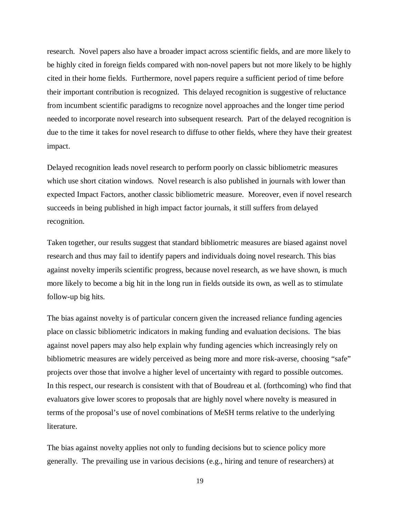research. Novel papers also have a broader impact across scientific fields, and are more likely to be highly cited in foreign fields compared with non-novel papers but not more likely to be highly cited in their home fields. Furthermore, novel papers require a sufficient period of time before their important contribution is recognized. This delayed recognition is suggestive of reluctance from incumbent scientific paradigms to recognize novel approaches and the longer time period needed to incorporate novel research into subsequent research. Part of the delayed recognition is due to the time it takes for novel research to diffuse to other fields, where they have their greatest impact.

Delayed recognition leads novel research to perform poorly on classic bibliometric measures which use short citation windows. Novel research is also published in journals with lower than expected Impact Factors, another classic bibliometric measure. Moreover, even if novel research succeeds in being published in high impact factor journals, it still suffers from delayed recognition.

Taken together, our results suggest that standard bibliometric measures are biased against novel research and thus may fail to identify papers and individuals doing novel research. This bias against novelty imperils scientific progress, because novel research, as we have shown, is much more likely to become a big hit in the long run in fields outside its own, as well as to stimulate follow-up big hits.

The bias against novelty is of particular concern given the increased reliance funding agencies place on classic bibliometric indicators in making funding and evaluation decisions. The bias against novel papers may also help explain why funding agencies which increasingly rely on bibliometric measures are widely perceived as being more and more risk-averse, choosing "safe" projects over those that involve a higher level of uncertainty with regard to possible outcomes. In this respect, our research is consistent with that of Boudreau et al. (forthcoming) who find that evaluators give lower scores to proposals that are highly novel where novelty is measured in terms of the proposal's use of novel combinations of MeSH terms relative to the underlying literature.

The bias against novelty applies not only to funding decisions but to science policy more generally. The prevailing use in various decisions (e.g., hiring and tenure of researchers) at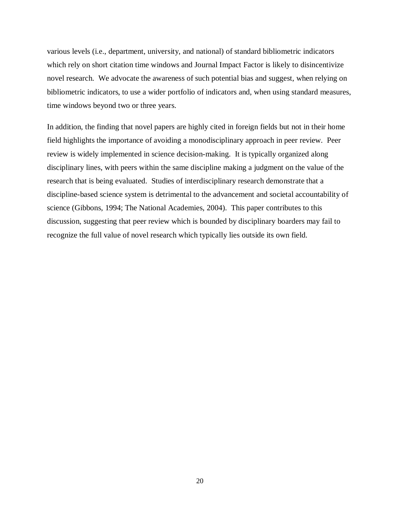various levels (i.e., department, university, and national) of standard bibliometric indicators which rely on short citation time windows and Journal Impact Factor is likely to disincentivize novel research. We advocate the awareness of such potential bias and suggest, when relying on bibliometric indicators, to use a wider portfolio of indicators and, when using standard measures, time windows beyond two or three years.

In addition, the finding that novel papers are highly cited in foreign fields but not in their home field highlights the importance of avoiding a monodisciplinary approach in peer review. Peer review is widely implemented in science decision-making. It is typically organized along disciplinary lines, with peers within the same discipline making a judgment on the value of the research that is being evaluated. Studies of interdisciplinary research demonstrate that a discipline-based science system is detrimental to the advancement and societal accountability of science (Gibbons, 1994; The National Academies, 2004). This paper contributes to this discussion, suggesting that peer review which is bounded by disciplinary boarders may fail to recognize the full value of novel research which typically lies outside its own field.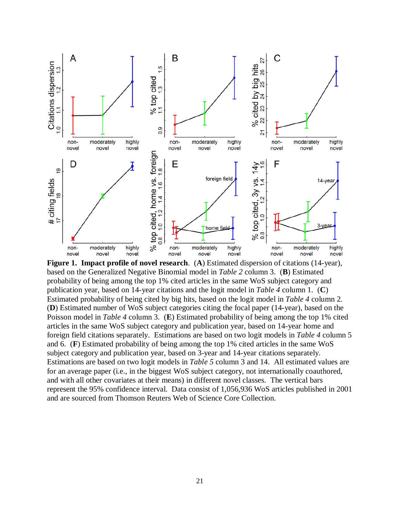

**Figure 1. Impact profile of novel research**. (**A**) Estimated dispersion of citations (14-year), based on the Generalized Negative Binomial model in *Table 2* column 3. (**B**) Estimated probability of being among the top 1% cited articles in the same WoS subject category and publication year, based on 14-year citations and the logit model in *Table 4* column 1. (**C**) Estimated probability of being cited by big hits, based on the logit model in *Table 4* column 2. (**D**) Estimated number of WoS subject categories citing the focal paper (14-year), based on the Poisson model in *Table 4* column 3. (**E**) Estimated probability of being among the top 1% cited articles in the same WoS subject category and publication year, based on 14-year home and foreign field citations separately. Estimations are based on two logit models in *Table 4* column 5 and 6. (**F**) Estimated probability of being among the top 1% cited articles in the same WoS subject category and publication year, based on 3-year and 14-year citations separately. Estimations are based on two logit models in *Table 5* column 3 and 14. All estimated values are for an average paper (i.e., in the biggest WoS subject category, not internationally coauthored, and with all other covariates at their means) in different novel classes. The vertical bars represent the 95% confidence interval. Data consist of 1,056,936 WoS articles published in 2001 and are sourced from Thomson Reuters Web of Science Core Collection.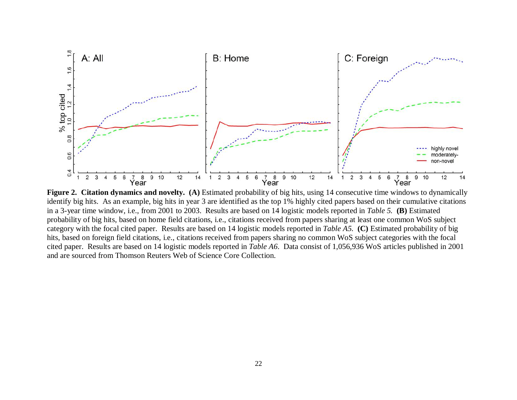

**Figure 2. Citation dynamics and novelty.** (A) Estimated probability of big hits, using 14 consecutive time windows to dynamically identify big hits. As an example, big hits in year 3 are identified as the top 1% highly cited papers based on their cumulative citations in a 3-year time window, i.e., from 2001 to 2003. Results are based on 14 logistic models reported in *Table 5.* **(B)** Estimated probability of big hits, based on home field citations, i.e., citations received from papers sharing at least one common WoS subject category with the focal cited paper. Results are based on 14 logistic models reported in *Table A5.* **(C)** Estimated probability of big hits, based on foreign field citations, i.e., citations received from papers sharing no common WoS subject categories with the focal cited paper. Results are based on 14 logistic models reported in *Table A6*. Data consist of 1,056,936 WoS articles published in 2001 and are sourced from Thomson Reuters Web of Science Core Collection.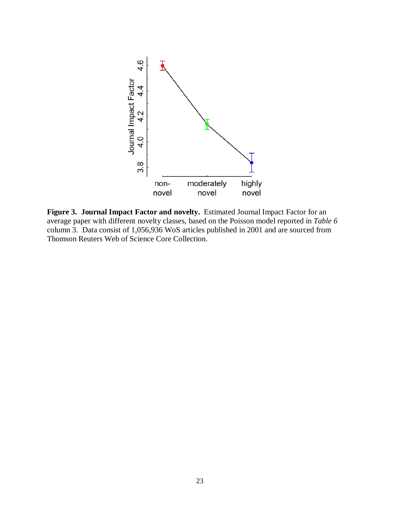

**Figure 3. Journal Impact Factor and novelty.** Estimated Journal Impact Factor for an average paper with different novelty classes, based on the Poisson model reported in *Table 6*  column 3. Data consist of 1,056,936 WoS articles published in 2001 and are sourced from Thomson Reuters Web of Science Core Collection.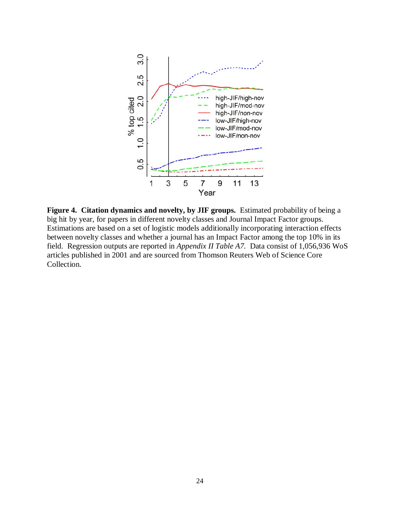

**Figure 4. Citation dynamics and novelty, by JIF groups.** Estimated probability of being a big hit by year, for papers in different novelty classes and Journal Impact Factor groups. Estimations are based on a set of logistic models additionally incorporating interaction effects between novelty classes and whether a journal has an Impact Factor among the top 10% in its field. Regression outputs are reported in *Appendix II Table A7.* Data consist of 1,056,936 WoS articles published in 2001 and are sourced from Thomson Reuters Web of Science Core Collection.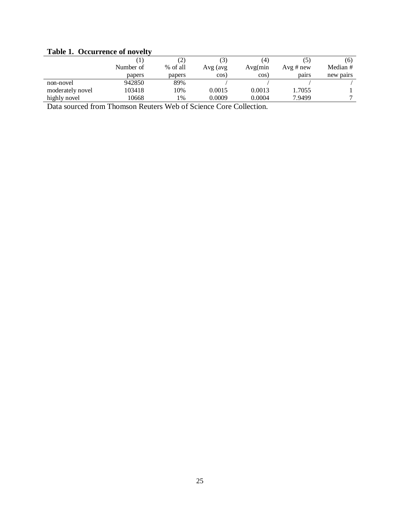## **Table 1. Occurrence of novelty**

|                  |           | ، سک     |          | 4        |              | (6)       |
|------------------|-----------|----------|----------|----------|--------------|-----------|
|                  | Number of | % of all | Avg (avg | Avg(min) | $Avg \# new$ | Median #  |
|                  | papers    | papers   | cos)     | cos)     | pairs        | new pairs |
| non-novel        | 942850    | 89%      |          |          |              |           |
| moderately novel | 103418    | 10%      | 0.0015   | 0.0013   | 1.7055       |           |
| highly novel     | 10668     | 1%       | 0.0009   | 0.0004   | 7.9499       |           |

Data sourced from Thomson Reuters Web of Science Core Collection.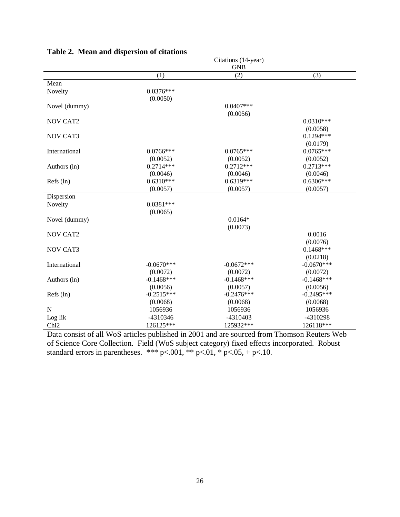|                    |              | Citations (14-year) |                  |
|--------------------|--------------|---------------------|------------------|
|                    |              | <b>GNB</b>          |                  |
|                    | (1)          | (2)                 | $\overline{(3)}$ |
| Mean               |              |                     |                  |
| Novelty            | $0.0376***$  |                     |                  |
|                    | (0.0050)     |                     |                  |
| Novel (dummy)      |              | $0.0407***$         |                  |
|                    |              | (0.0056)            |                  |
| <b>NOV CAT2</b>    |              |                     | $0.0310***$      |
|                    |              |                     | (0.0058)         |
| <b>NOV CAT3</b>    |              |                     | $0.1294***$      |
|                    |              |                     | (0.0179)         |
| International      | $0.0766***$  | $0.0765***$         | $0.0765***$      |
|                    | (0.0052)     | (0.0052)            | (0.0052)         |
| Authors (ln)       | $0.2714***$  | $0.2712***$         | $0.2713***$      |
|                    | (0.0046)     | (0.0046)            | (0.0046)         |
| Refs $(ln)$        | $0.6310***$  | $0.6319***$         | $0.6306***$      |
|                    | (0.0057)     | (0.0057)            | (0.0057)         |
| Dispersion         |              |                     |                  |
| Novelty            | $0.0381***$  |                     |                  |
|                    | (0.0065)     |                     |                  |
| Novel (dummy)      |              | $0.0164*$           |                  |
|                    |              | (0.0073)            |                  |
| <b>NOV CAT2</b>    |              |                     | 0.0016           |
|                    |              |                     | (0.0076)         |
| <b>NOV CAT3</b>    |              |                     | $0.1468***$      |
|                    |              |                     | (0.0218)         |
| International      | $-0.0670***$ | $-0.0672***$        | $-0.0670***$     |
|                    | (0.0072)     | (0.0072)            | (0.0072)         |
| Authors (ln)       | $-0.1468***$ | $-0.1468$ ***       | $-0.1468***$     |
|                    | (0.0056)     | (0.0057)            | (0.0056)         |
| $\text{Refs}$ (ln) | $-0.2515***$ | $-0.2476***$        | $-0.2495***$     |
|                    | (0.0068)     | (0.0068)            | (0.0068)         |
| N                  | 1056936      | 1056936             | 1056936          |
| Log lik            | -4310346     | -4310403            | -4310298         |
| Chi <sub>2</sub>   | 126125***    | 125932***           | 126118***        |

## **Table 2. Mean and dispersion of citations**

Data consist of all WoS articles published in 2001 and are sourced from Thomson Reuters Web of Science Core Collection. Field (WoS subject category) fixed effects incorporated. Robust standard errors in parentheses. \*\*\*  $p<.001$ , \*\*  $p<.01$ , \*  $p<.05$ , +  $p<.10$ .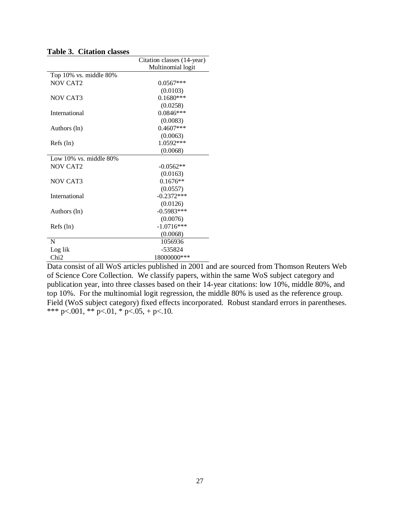|                              | Citation classes (14-year) |
|------------------------------|----------------------------|
|                              | Multinomial logit          |
| Top 10% vs. middle 80%       |                            |
| <b>NOV CAT2</b>              | $0.0567***$                |
|                              | (0.0103)                   |
| NOV CAT3                     | $0.1680***$                |
|                              | (0.0258)                   |
| International                | $0.0846***$                |
|                              | (0.0083)                   |
| Authors (ln)                 | $0.4607***$                |
|                              | (0.0063)                   |
| Refs (ln)                    | 1.0592***                  |
|                              | (0.0068)                   |
| Low $10\%$ vs. middle $80\%$ |                            |
| <b>NOV CAT2</b>              | $-0.0562**$                |
|                              | (0.0163)                   |
| <b>NOV CAT3</b>              | $0.1676**$                 |
|                              | (0.0557)                   |
| International                | $-0.2372***$               |
|                              | (0.0126)                   |
| Authors (ln)                 | $-0.5983***$               |
|                              | (0.0076)                   |
| $\text{Refs}$ (ln)           | $-1.0716***$               |
|                              | (0.0068)                   |
| N                            | 1056936                    |
| Log lik                      | -535824                    |
| Chi2                         | 18000000***                |

#### **Table 3. Citation classes**

Data consist of all WoS articles published in 2001 and are sourced from Thomson Reuters Web of Science Core Collection. We classify papers, within the same WoS subject category and publication year, into three classes based on their 14-year citations: low 10%, middle 80%, and top 10%. For the multinomial logit regression, the middle 80% is used as the reference group. Field (WoS subject category) fixed effects incorporated. Robust standard errors in parentheses. \*\*\* p<.001, \*\* p<.01, \* p<.05, + p<.10.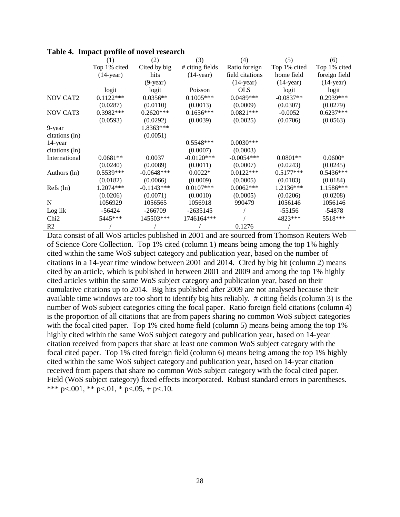|                    | (1)          | (2)          | (3)             | (4)             | (5)          | (6)           |
|--------------------|--------------|--------------|-----------------|-----------------|--------------|---------------|
|                    | Top 1% cited | Cited by big | # citing fields | Ratio foreign   | Top 1% cited | Top 1% cited  |
|                    | $(14$ -year) | hits         | $(14$ -year)    | field citations | home field   | foreign field |
|                    |              | $(9-year)$   |                 | $(14$ -year)    | $(14$ -year) | $(14$ -year)  |
|                    | logit        | logit        | Poisson         | <b>OLS</b>      | logit        | logit         |
| <b>NOV CAT2</b>    | $0.1122***$  | $0.0356**$   | $0.1005***$     | $0.0489***$     | $-0.0837**$  | $0.2939***$   |
|                    | (0.0287)     | (0.0110)     | (0.0013)        | (0.0009)        | (0.0307)     | (0.0279)      |
| NOV CAT3           | $0.3982***$  | $0.2620***$  | $0.1656***$     | $0.0821***$     | $-0.0052$    | $0.6237***$   |
|                    | (0.0593)     | (0.0292)     | (0.0039)        | (0.0025)        | (0.0706)     | (0.0563)      |
| 9-year             |              | $1.8363***$  |                 |                 |              |               |
| citations (ln)     |              | (0.0051)     |                 |                 |              |               |
| 14-year            |              |              | $0.5548***$     | $0.0030***$     |              |               |
| citations (ln)     |              |              | (0.0007)        | (0.0003)        |              |               |
| International      | $0.0681**$   | 0.0037       | $-0.0120***$    | $-0.0054***$    | $0.0801**$   | $0.0600*$     |
|                    | (0.0240)     | (0.0089)     | (0.0011)        | (0.0007)        | (0.0243)     | (0.0245)      |
| Authors (ln)       | $0.5539***$  | $-0.0648***$ | $0.0022*$       | $0.0122***$     | $0.5177***$  | $0.5436***$   |
|                    | (0.0182)     | (0.0066)     | (0.0009)        | (0.0005)        | (0.0183)     | (0.0184)      |
| $\text{Refs}$ (ln) | 1.2074***    | $-0.1143***$ | $0.0107$ ***    | $0.0062***$     | 1.2136***    | 1.1586***     |
|                    | (0.0206)     | (0.0071)     | (0.0010)        | (0.0005)        | (0.0206)     | (0.0208)      |
| N                  | 1056929      | 1056565      | 1056918         | 990479          | 1056146      | 1056146       |
| Log lik            | $-56424$     | $-266709$    | $-2635145$      |                 | $-55156$     | $-54878$      |
| Ch <sub>i</sub> 2  | 5445***      | 145503***    | 1746164***      |                 | 4823 ***     | 5518***       |
| R <sub>2</sub>     |              |              |                 | 0.1276          |              |               |

#### **Table 4. Impact profile of novel research**

Data consist of all WoS articles published in 2001 and are sourced from Thomson Reuters Web of Science Core Collection. Top 1% cited (column 1) means being among the top 1% highly cited within the same WoS subject category and publication year, based on the number of citations in a 14-year time window between 2001 and 2014. Cited by big hit (column 2) means cited by an article, which is published in between 2001 and 2009 and among the top 1% highly cited articles within the same WoS subject category and publication year, based on their cumulative citations up to 2014. Big hits published after 2009 are not analysed because their available time windows are too short to identify big hits reliably. # citing fields (column 3) is the number of WoS subject categories citing the focal paper. Ratio foreign field citations (column 4) is the proportion of all citations that are from papers sharing no common WoS subject categories with the focal cited paper. Top 1% cited home field (column 5) means being among the top 1% highly cited within the same WoS subject category and publication year, based on 14-year citation received from papers that share at least one common WoS subject category with the focal cited paper. Top 1% cited foreign field (column 6) means being among the top 1% highly cited within the same WoS subject category and publication year, based on 14-year citation received from papers that share no common WoS subject category with the focal cited paper. Field (WoS subject category) fixed effects incorporated. Robust standard errors in parentheses. \*\*\* p<.001, \*\* p<.01, \* p<.05, + p<.10.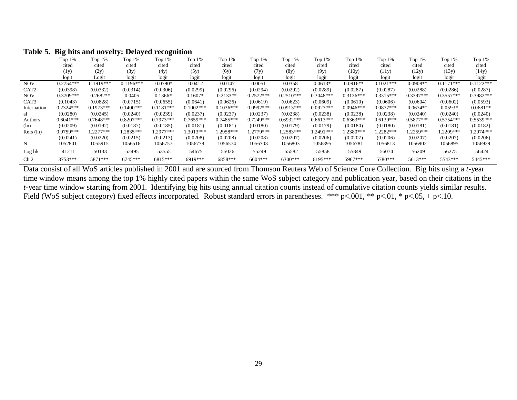|                    | Top 1%       | Top $1\%$    | Top $1\%$    | Top $1\%$   | Top $1\%$   | Top $1\%$   | Top $1\%$   | Top $1\%$   | Top $1\%$   | Top $1\%$   | Top $1\%$   | Top $1\%$      | Top $1\%$   | Top $1\%$               |  |
|--------------------|--------------|--------------|--------------|-------------|-------------|-------------|-------------|-------------|-------------|-------------|-------------|----------------|-------------|-------------------------|--|
|                    | cited        | cited        | cited        | cited       | cited       | cited       | cited       | cited       | cited       | cited       | cited       | cited<br>cited |             | cited                   |  |
|                    | (1y)         | (2y)         | (3y)         | (4y)        | (5y)        | (6y)        | (7y)        | (8y)        | (9y)        | (10y)       | (11y)       | (12y)          | (13y)       | (14y)                   |  |
|                    | logit        | Logit        | logit        | logit       | logit       | logit       | logit       | logit       | logit       | logit       | logit       | logit          | logit       | logit                   |  |
| <b>NOV</b>         | $-0.2754***$ | $-0.1919***$ | $-0.1196***$ | $-0.0790*$  | $-0.0412$   | $-0.0147$   | 0.0051      | 0.0358      | $0.0613*$   | $0.0916**$  | $0.1021***$ | $0.0908**$     | $0.1171***$ | $0.1122***$             |  |
| CAT <sub>2</sub>   | (0.0398)     | (0.0332)     | (0.0314)     | (0.0306)    | (0.0299)    | (0.0296)    | (0.0294)    | (0.0292)    | (0.0289)    | (0.0287)    | (0.0287)    | (0.0288)       | (0.0286)    | (0.0287)                |  |
| <b>NOV</b>         | $-0.3709***$ | $-0.2682**$  | $-0.0405$    | $0.1366*$   | $0.1607*$   | $0.2133**$  | $0.2572***$ | $0.2510***$ | $0.3048***$ | $0.3136***$ | $0.3315***$ | $0.3397***$    | $0.3557***$ | $0.3982***$<br>(0.0593) |  |
| CAT3               | (0.1043)     | (0.0828)     | (0.0715)     | (0.0655)    | (0.0641)    | (0.0626)    | (0.0619)    | (0.0623)    | (0.0609)    | (0.0610)    | (0.0606)    | (0.0604)       | (0.0602)    |                         |  |
| Internation        | $0.2324***$  | $0.1973***$  | $0.1400***$  | $0.1181***$ | $0.1002***$ | $0.1036***$ | $0.0992***$ | $0.0913***$ | $0.0927***$ | $0.0946***$ | $0.0877***$ | $0.0674**$     | $0.0593*$   | $0.0681**$              |  |
| al                 | (0.0280)     | (0.0245)     | (0.0240)     | (0.0239)    | (0.0237)    | (0.0237)    | (0.0237)    | (0.0238)    | (0.0238)    | (0.0238)    | (0.0238)    | (0.0240)       | (0.0240)    | (0.0240)                |  |
| Authors            | $0.6041***$  | $0.7648***$  | $0.8207***$  | $0.7973***$ | $0.7659***$ | $0.7485***$ | $0.7249***$ | $0.6932***$ | $0.6613***$ | $0.6363***$ | $0.6139***$ | $0.5877***$    | $0.5754***$ | $0.5539***$             |  |
| (ln)               | (0.0209)     | (0.0192)     | (0.0187)     | (0.0185)    | (0.0181)    | (0.0181)    | (0.0180)    | (0.0179)    | (0.0179)    | (0.0180)    | (0.0180)    | (0.0181)       | (0.0181)    | (0.0182)                |  |
| $\text{Refs}(\ln)$ | $0.9759***$  | 1.2277***    | 1.2835***    | $1.2977***$ | $.3013***$  | 1.2958***   | 1.2779***   | 1.2583***   | $.2491***$  | 1.2380***   | $.2282***$  | 1.2259***      | $.2209***$  | $1.2074***$             |  |
|                    | (0.0241)     | (0.0220)     | (0.0215)     | (0.0213)    | (0.0208)    | (0.0208)    | (0.0208)    | (0.0207)    | (0.0206)    | (0.0207)    | (0.0206)    | (0.0207)       | (0.0207)    | (0.0206)                |  |
| N                  | 1052801      | 1055915      | 1056516      | 1056757     | 1056778     | 1056574     | 1056703     | 1056803     | 1056895     | 1056781     | 1056813     | 1056902        | 1056895     | 1056929                 |  |
| Log lik            | $-41211$     | $-50133$     | $-52495$     | $-53555$    | $-54675$    | $-55026$    | $-55249$    | $-55582$    | $-55858$    | $-55849$    | $-56074$    | $-56209$       | $-56275$    | $-56424$                |  |
| Chi <sub>2</sub>   | 3753***      | 5871***      | 6745***      | 6815***     | 6919***     | 6858***     | 6604***     | 6300***     | 6195***     | 5967***     | 5780***     | 5613***        | 5543***     | 5445***                 |  |

## **Table 5. Big hits and novelty: Delayed recognition**

Data consist of all WoS articles published in 2001 and are sourced from Thomson Reuters Web of Science Core Collection. Big hits using a *t*-year time window means among the top 1% highly cited papers within the same WoS subject category and publication year, based on their citations in the *t*-year time window starting from 2001. Identifying big hits using annual citation counts instead of cumulative citation counts yields similar results. Field (WoS subject category) fixed effects incorporated. Robust standard errors in parentheses. \*\*\* p<.001, \*\* p<.01, \* p<.05, + p<.10.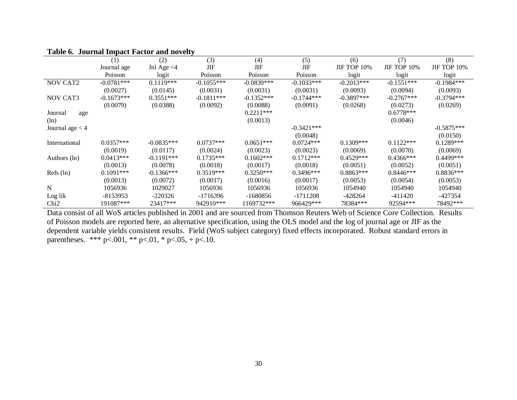|                      | $\left(1\right)$ | (2)           | (3)          | (4)          | (5)                          | (6)                | (7)                | (8)                |
|----------------------|------------------|---------------|--------------|--------------|------------------------------|--------------------|--------------------|--------------------|
|                      | Journal age      | Jnl Age $<$ 4 | JIF          | JIF          | JIF                          | <b>JIF TOP 10%</b> | <b>JIF TOP 10%</b> | <b>JIF TOP 10%</b> |
|                      | Poisson          | logit         | Poisson      | Poisson      | Poisson                      | logit              | logit              | logit              |
| NOV CAT <sub>2</sub> | $-0.0781***$     | $0.1119***$   | $-0.1055***$ | $-0.0839***$ | $-0.1033***$                 | $-0.2013***$       | $-0.1551***$       | $-0.1984***$       |
|                      | (0.0027)         | (0.0145)      | (0.0031)     | (0.0031)     | (0.0031)                     | (0.0093)           | (0.0094)           | (0.0093)           |
| NOV CAT3             | $-0.1673***$     | $0.3551***$   | $-0.1811***$ | $-0.1352***$ | $-0.1744***$<br>$-0.3897***$ |                    | $-0.2767***$       | $-0.3794***$       |
|                      | (0.0079)         | (0.0388)      | (0.0092)     | (0.0088)     | (0.0091)                     | (0.0268)           | (0.0273)           | (0.0269)           |
| Journal<br>age       |                  |               |              | $0.2211***$  |                              |                    | $0.6778***$        |                    |
| (ln)                 |                  |               |              | (0.0013)     |                              |                    | (0.0046)           |                    |
| Journal age $<$ 4    |                  |               |              |              | $-0.3421***$                 |                    |                    | $-0.5875***$       |
|                      |                  |               |              |              | (0.0048)                     |                    |                    | (0.0150)           |
| International        | $0.0357***$      | $-0.0835***$  | $0.0737***$  | $0.0651***$  | $0.0724***$                  | $0.1309***$        | $0.1122***$        | $0.1289***$        |
|                      | (0.0019)         | (0.0117)      | (0.0024)     | (0.0023)     | (0.0023)                     | (0.0069)           | (0.0070)           | (0.0069)           |
| Authors (ln)         | $0.0413***$      | $-0.1191***$  | $0.1735***$  | $0.1602$ *** | $0.1712***$                  | $0.4529***$        | $0.4366***$        | $0.4499***$        |
|                      | (0.0013)         | (0.0078)      | (0.0018)     | (0.0017)     | (0.0018)                     | (0.0051)           | (0.0052)           | (0.0051)           |
| $\text{Refs}$ (ln)   | $0.1091***$      | $-0.1366$ *** | $0.3519***$  | $0.3250***$  | $0.3496***$                  | $0.8863***$        | $0.8446***$        | 0.8836***          |
|                      | (0.0013)         | (0.0072)      | (0.0017)     | (0.0016)     | (0.0017)                     | (0.0053)           | (0.0054)           | (0.0053)           |
| N                    | 1056936          | 1029027       | 1056936      | 1056936      | 1056936                      | 1054940            | 1054940            | 1054940            |
| Log lik              | $-8153953$       | $-220326$     | -1716396     | -1680856     | $-1711208$                   | $-428264$          | -411420            | -427354            |
| Chi2                 | 191087***        | 23417***      | 942910***    | 1169732***   | 966429***                    | 78384***           | 92594***           | 78492***           |

## **Table 6. Journal Impact Factor and novelty**

Data consist of all WoS articles published in 2001 and are sourced from Thomson Reuters Web of Science Core Collection. Results of Poisson models are reported here, an alternative specification, using the OLS model and the log of journal age or JIF as the dependent variable yields consistent results. Field (WoS subject category) fixed effects incorporated. Robust standard errors in parentheses. \*\*\* p<.001, \*\* p<.01, \* p<.05, + p<.10.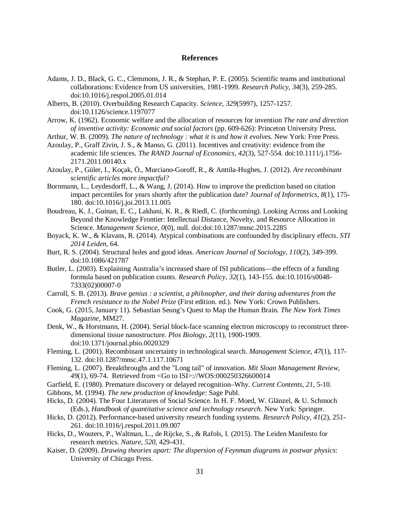#### **References**

- Adams, J. D., Black, G. C., Clemmons, J. R., & Stephan, P. E. (2005). Scientific teams and institutional collaborations: Evidence from US universities, 1981-1999. *Research Policy, 34*(3), 259-285. doi:10.1016/j.respol.2005.01.014
- Alberts, B. (2010). Overbuilding Research Capacity. *Science, 329*(5997), 1257-1257. doi:10.1126/science.1197077
- Arrow, K. (1962). Economic welfare and the allocation of resources for invention *The rate and direction of inventive activity: Economic and social factors* (pp. 609-626): Princeton University Press.
- Arthur, W. B. (2009). *The nature of technology : what it is and how it evolves*. New York: Free Press.
- Azoulay, P., Graff Zivin, J. S., & Manso, G. (2011). Incentives and creativity: evidence from the academic life sciences. *The RAND Journal of Economics, 42*(3), 527-554. doi:10.1111/j.1756- 2171.2011.00140.x
- Azoulay, P., Güler, I., Koçak, Ö., Murciano-Goroff, R., & Anttila-Hughes, J. (2012). *Are recombinant scientific articles more impactful?*
- Bornmann, L., Leydesdorff, L., & Wang, J. (2014). How to improve the prediction based on citation impact percentiles for years shortly after the publication date? *Journal of Informetrics, 8*(1), 175- 180. doi:10.1016/j.joi.2013.11.005
- Boudreau, K. J., Guinan, E. C., Lakhani, K. R., & Riedl, C. (forthcoming). Looking Across and Looking Beyond the Knowledge Frontier: Intellectual Distance, Novelty, and Resource Allocation in Science. *Management Science, 0*(0), null. doi:doi:10.1287/mnsc.2015.2285
- Boyack, K. W., & Klavans, R. (2014). Atypical combinations are confounded by disciplinary effects. *STI 2014 Leiden*, 64.
- Burt, R. S. (2004). Structural holes and good ideas. *American Journal of Sociology, 110*(2), 349-399. doi:10.1086/421787
- Butler, L. (2003). Explaining Australia's increased share of ISI publications—the effects of a funding formula based on publication counts. *Research Policy, 32*(1), 143-155. doi:10.1016/s0048- 7333(02)00007-0
- Carroll, S. B. (2013). *Brave genius : a scientist, a philosopher, and their daring adventures from the French resistance to the Nobel Prize* (First edition. ed.). New York: Crown Publishers.
- Cook, G. (2015, January 11). Sebastian Seung's Quest to Map the Human Brain. *The New York Times Magazine,* MM27.
- Denk, W., & Horstmann, H. (2004). Serial block-face scanning electron microscopy to reconstruct threedimensional tissue nanostructure. *Plos Biology, 2*(11), 1900-1909. doi:10.1371/journal.pbio.0020329
- Fleming, L. (2001). Recombinant uncertainty in technological search. *Management Science, 47*(1), 117- 132. doi:10.1287/mnsc.47.1.117.10671
- Fleming, L. (2007). Breakthroughs and the "Long tail" of innovation. *Mit Sloan Management Review, 49*(1), 69-74. Retrieved from <Go to ISI>://WOS:000250326600014
- Garfield, E. (1980). Premature discovery or delayed recognition–Why. *Current Contents, 21*, 5-10.
- Gibbons, M. (1994). *The new production of knowledge*: Sage Publ.
- Hicks, D. (2004). The Four Literatures of Social Science. In H. F. Moed, W. Glänzel, & U. Schmoch (Eds.), *Handbook of quantitative science and technology research*. New York: Springer.
- Hicks, D. (2012). Performance-based university research funding systems. *Research Policy, 41*(2), 251- 261. doi:10.1016/j.respol.2011.09.007
- Hicks, D., Wouters, P., Waltman, L., de Rijcke, S., & Rafols, I. (2015). The Leiden Manifesto for research metrics. *Nature, 520*, 429-431.
- Kaiser, D. (2009). *Drawing theories apart: The dispersion of Feynman diagrams in postwar physics*: University of Chicago Press.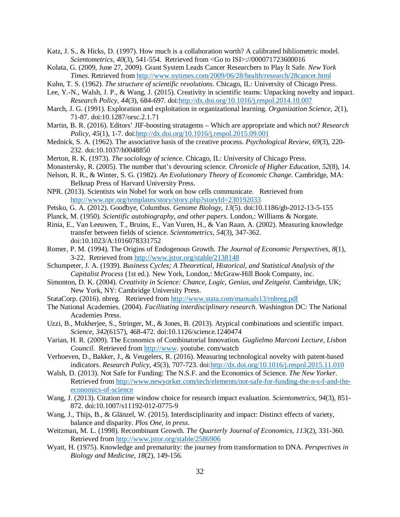Katz, J. S., & Hicks, D. (1997). How much is a collaboration worth? A calibrated bibliometric model. *Scientometrics, 40*(3), 541-554. Retrieved from <Go to ISI>://000071723600016

Kolata, G. (2009, June 27, 2009). Grant System Leads Cancer Researchers to Play It Safe. *New York Times*. Retrieved from<http://www.nytimes.com/2009/06/28/health/research/28cancer.html>

Kuhn, T. S. (1962). *The structure of scientific revolutions*. Chicago, IL: University of Chicago Press.

- Lee, Y.-N., Walsh, J. P., & Wang, J. (2015). Creativity in scientific teams: Unpacking novelty and impact. *Research Policy, 44*(3), 684-697. doi[:http://dx.doi.org/10.1016/j.respol.2014.10.007](http://dx.doi.org/10.1016/j.respol.2014.10.007)
- March, J. G. (1991). Exploration and exploitation in organizational learning. *Organization Science, 2*(1), 71-87. doi:10.1287/orsc.2.1.71
- Martin, B. R. (2016). Editors' JIF-boosting stratagems Which are appropriate and which not? *Research Policy, 45*(1), 1-7. doi[:http://dx.doi.org/10.1016/j.respol.2015.09.001](http://dx.doi.org/10.1016/j.respol.2015.09.001)
- Mednick, S. A. (1962). The associative basis of the creative process. *Psychological Review, 69*(3), 220- 232. doi:10.1037/h0048850
- Merton, R. K. (1973). *The sociology of science*. Chicago, IL: University of Chicago Press.
- Monastersky, R. (2005). The number that's devouring science. *Chronicle of Higher Education, 52*(8), 14.
- Nelson, R. R., & Winter, S. G. (1982). *An Evolutionary Theory of Economic Change*. Cambridge, MA: Belknap Press of Harvard University Press.
- NPR. (2013). Scientists win Nobel for work on how cells communicate. Retrieved from <http://www.npr.org/templates/story/story.php?storyId=230192033>
- Petsko, G. A. (2012). Goodbye, Columbus. *Genome Biology, 13*(5). doi:10.1186/gb-2012-13-5-155
- Planck, M. (1950). *Scientific autobiography, and other papers*. London,: Williams & Norgate.
- Rinia, E., Van Leeuwen, T., Bruins, E., Van Vuren, H., & Van Raan, A. (2002). Measuring knowledge transfer between fields of science. *Scientometrics, 54*(3), 347-362. doi:10.1023/A:1016078331752
- Romer, P. M. (1994). The Origins of Endogenous Growth. *The Journal of Economic Perspectives, 8*(1), 3-22. Retrieved from<http://www.jstor.org/stable/2138148>
- Schumpeter, J. A. (1939). *Business Cycles; A Theoretical, Historical, and Statistical Analysis of the Capitalist Process* (1st ed.). New York, London,: McGraw-Hill Book Company, inc.
- Simonton, D. K. (2004). *Creativity in Science: Chance, Logic, Genius, and Zeitgeist*. Cambridge, UK; New York, NY: Cambridge University Press.
- StataCorp. (2016). nbreg. Retrieved from<http://www.stata.com/manuals13/rnbreg.pdf>
- The National Academies. (2004). *Facilitating interdisciplinary research*. Washington DC: The National Academies Press.
- Uzzi, B., Mukherjee, S., Stringer, M., & Jones, B. (2013). Atypical combinations and scientific impact. *Science, 342*(6157), 468-472. doi:10.1126/science.1240474
- Varian, H. R. (2009). The Economics of Combinatorial Innovation. *Guglielmo Marconi Lecture, Lisbon Council.* Retrieved fro[m http://www.](http://www/) youtube. com/watch

Verhoeven, D., Bakker, J., & Veugelers, R. (2016). Measuring technological novelty with patent-based indicators. *Research Policy, 45*(3), 707-723. doi[:http://dx.doi.org/10.1016/j.respol.2015.11.010](http://dx.doi.org/10.1016/j.respol.2015.11.010)

- Walsh, D. (2013). Not Safe for Funding: The N.S.F. and the Economics of Science. *The New Yorker.* Retrieved from [http://www.newyorker.com/tech/elements/not-safe-for-funding-the-n-s-f-and-the](http://www.newyorker.com/tech/elements/not-safe-for-funding-the-n-s-f-and-the-economics-of-science)[economics-of-science](http://www.newyorker.com/tech/elements/not-safe-for-funding-the-n-s-f-and-the-economics-of-science)
- Wang, J. (2013). Citation time window choice for research impact evaluation. *Scientometrics, 94*(3), 851- 872. doi:10.1007/s11192-012-0775-9
- Wang, J., Thijs, B., & Glänzel, W. (2015). Interdisciplinarity and impact: Distinct effects of variety, balance and disparity. *Plos One, in press*.
- Weitzman, M. L. (1998). Recombinant Growth. *The Quarterly Journal of Economics, 113*(2), 331-360. Retrieved from<http://www.jstor.org/stable/2586906>
- Wyatt, H. (1975). Knowledge and prematurity: the journey from transformation to DNA. *Perspectives in Biology and Medicine, 18*(2), 149-156.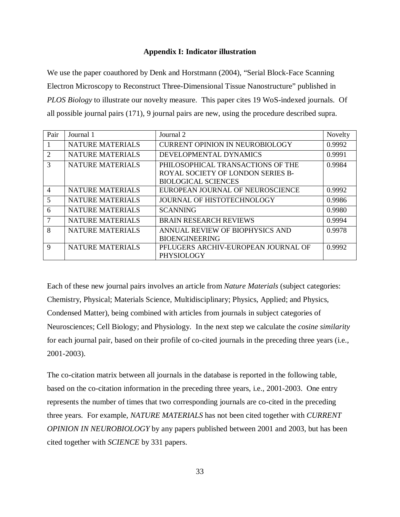## **Appendix I: Indicator illustration**

We use the paper coauthored by Denk and Horstmann (2004), "Serial Block-Face Scanning Electron Microscopy to Reconstruct Three-Dimensional Tissue Nanostructure" published in *PLOS Biology* to illustrate our novelty measure. This paper cites 19 WoS-indexed journals. Of all possible journal pairs (171), 9 journal pairs are new, using the procedure described supra.

| Pair           | Journal 1               | Journal 2                                                                                            | Novelty |
|----------------|-------------------------|------------------------------------------------------------------------------------------------------|---------|
|                | <b>NATURE MATERIALS</b> | <b>CURRENT OPINION IN NEUROBIOLOGY</b>                                                               | 0.9992  |
| 2              | <b>NATURE MATERIALS</b> | DEVELOPMENTAL DYNAMICS                                                                               | 0.9991  |
| 3              | <b>NATURE MATERIALS</b> | PHILOSOPHICAL TRANSACTIONS OF THE<br>ROYAL SOCIETY OF LONDON SERIES B-<br><b>BIOLOGICAL SCIENCES</b> | 0.9984  |
| $\overline{4}$ | <b>NATURE MATERIALS</b> | EUROPEAN JOURNAL OF NEUROSCIENCE                                                                     | 0.9992  |
| 5              | <b>NATURE MATERIALS</b> | JOURNAL OF HISTOTECHNOLOGY                                                                           | 0.9986  |
| 6              | <b>NATURE MATERIALS</b> | <b>SCANNING</b>                                                                                      | 0.9980  |
| 7              | <b>NATURE MATERIALS</b> | <b>BRAIN RESEARCH REVIEWS</b>                                                                        | 0.9994  |
| 8              | <b>NATURE MATERIALS</b> | ANNUAL REVIEW OF BIOPHYSICS AND<br><b>BIOENGINEERING</b>                                             | 0.9978  |
| 9              | <b>NATURE MATERIALS</b> | PFLUGERS ARCHIV-EUROPEAN JOURNAL OF<br>PHYSIOLOGY                                                    | 0.9992  |

Each of these new journal pairs involves an article from *Nature Materials* (subject categories: Chemistry, Physical; Materials Science, Multidisciplinary; Physics, Applied; and Physics, Condensed Matter), being combined with articles from journals in subject categories of Neurosciences; Cell Biology; and Physiology. In the next step we calculate the *cosine similarity* for each journal pair, based on their profile of co-cited journals in the preceding three years (i.e., 2001-2003).

The co-citation matrix between all journals in the database is reported in the following table, based on the co-citation information in the preceding three years, i.e., 2001-2003. One entry represents the number of times that two corresponding journals are co-cited in the preceding three years. For example, *NATURE MATERIALS* has not been cited together with *CURRENT OPINION IN NEUROBIOLOGY* by any papers published between 2001 and 2003, but has been cited together with *SCIENCE* by 331 papers.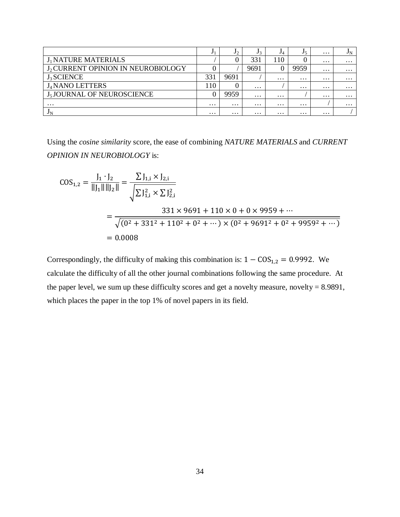|                                                     | J        | J <sub>2</sub> | J٩       | J 4      | J5.      | $\cdots$ | $J_N$    |
|-----------------------------------------------------|----------|----------------|----------|----------|----------|----------|----------|
| $J_1$ NATURE MATERIALS                              |          |                | 331      | .10      |          | $\cdots$ | $\cdots$ |
| <b>J<sub>2</sub>CURRENT OPINION IN NEUROBIOLOGY</b> |          |                | 9691     |          | 9959     | $\cdots$ | $\cdots$ |
| $J3$ SCIENCE                                        | 331      | 9691           |          | $\cdots$ | $\cdots$ | $\cdots$ | $\cdots$ |
| <b>J<sub>4</sub>NANO LETTERS</b>                    | 110      |                | $\cdots$ |          | $\cdots$ | $\cdots$ | $\cdots$ |
| <b>J<sub>5</sub>JOURNAL OF NEUROSCIENCE</b>         |          | 9959           | $\cdots$ | $\cdots$ |          | $\cdots$ | $\cdots$ |
| $\cdots$                                            | $\cdots$ | $\cdots$       | $\cdots$ | $\cdots$ | $\cdots$ |          | $\cdots$ |
| JN                                                  | $\cdots$ | $\cdots$       | $\cdots$ | $\cdots$ | $\cdots$ | $\cdots$ |          |

Using the *cosine similarity* score, the ease of combining *NATURE MATERIALS* and *CURRENT OPINION IN NEUROBIOLOGY* is:

$$
COS_{1,2} = \frac{J_1 \cdot J_2}{\|J_1\| \|J_2\|} = \frac{\sum J_{1,i} \times J_{2,i}}{\sqrt{\sum J_{1,i}^2 \times \sum J_{2,i}^2}}
$$
  
= 
$$
\frac{331 \times 9691 + 110 \times 0 + 0 \times 9959 + \cdots}{\sqrt{(0^2 + 331^2 + 110^2 + 0^2 + \cdots)} \times (0^2 + 9691^2 + 0^2 + 9959^2 + \cdots)}}
$$
  
= 0.0008

Correspondingly, the difficulty of making this combination is:  $1 - COS_{1,2} = 0.9992$ . We calculate the difficulty of all the other journal combinations following the same procedure. At the paper level, we sum up these difficulty scores and get a novelty measure, novelty = 8.9891, which places the paper in the top 1% of novel papers in its field.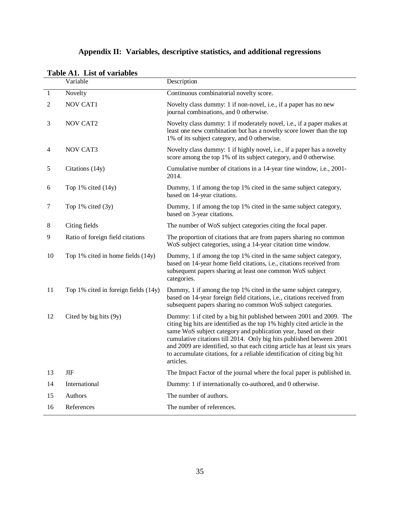# **Appendix II: Variables, descriptive statistics, and additional regressions**

|                | $111.$ LEGG OF TRETROICS<br>Variable | Description                                                                                                                                                                                                                                                                                                                                                                                                                                                       |
|----------------|--------------------------------------|-------------------------------------------------------------------------------------------------------------------------------------------------------------------------------------------------------------------------------------------------------------------------------------------------------------------------------------------------------------------------------------------------------------------------------------------------------------------|
| 1              | Novelty                              | Continuous combinatorial novelty score.                                                                                                                                                                                                                                                                                                                                                                                                                           |
| $\overline{2}$ | <b>NOV CAT1</b>                      | Novelty class dummy: 1 if non-novel, i.e., if a paper has no new<br>journal combinations, and 0 otherwise.                                                                                                                                                                                                                                                                                                                                                        |
| 3              | <b>NOV CAT2</b>                      | Novelty class dummy: 1 if moderately novel, i.e., if a paper makes at<br>least one new combination but has a novelty score lower than the top<br>1% of its subject category, and 0 otherwise.                                                                                                                                                                                                                                                                     |
| 4              | <b>NOV CAT3</b>                      | Novelty class dummy: 1 if highly novel, i.e., if a paper has a novelty<br>score among the top 1% of its subject category, and 0 otherwise.                                                                                                                                                                                                                                                                                                                        |
| 5              | Citations (14y)                      | Cumulative number of citations in a 14-year tine window, i.e., 2001-<br>2014.                                                                                                                                                                                                                                                                                                                                                                                     |
| 6              | Top 1% cited (14y)                   | Dummy, 1 if among the top 1% cited in the same subject category,<br>based on 14-year citations.                                                                                                                                                                                                                                                                                                                                                                   |
| 7              | Top $1\%$ cited $(3y)$               | Dummy, 1 if among the top 1% cited in the same subject category,<br>based on 3-year citations.                                                                                                                                                                                                                                                                                                                                                                    |
| 8              | Citing fields                        | The number of WoS subject categories citing the focal paper.                                                                                                                                                                                                                                                                                                                                                                                                      |
| 9              | Ratio of foreign field citations     | The proportion of citations that are from papers sharing no common<br>WoS subject categories, using a 14-year citation time window.                                                                                                                                                                                                                                                                                                                               |
| 10             | Top 1% cited in home fields (14y)    | Dummy, 1 if among the top 1% cited in the same subject category,<br>based on 14-year home field citations, i.e., citations received from<br>subsequent papers sharing at least one common WoS subject<br>categories.                                                                                                                                                                                                                                              |
| 11             | Top 1% cited in foreign fields (14y) | Dummy, 1 if among the top 1% cited in the same subject category,<br>based on 14-year foreign field citations, i.e., citations received from<br>subsequent papers sharing no common WoS subject categories.                                                                                                                                                                                                                                                        |
| 12             | Cited by big hits (9y)               | Dummy: 1 if cited by a big hit published between 2001 and 2009. The<br>citing big hits are identified as the top 1% highly cited article in the<br>same WoS subject category and publication year, based on their<br>cumulative citations till 2014. Only big hits published between 2001<br>and 2009 are identified, so that each citing article has at least six years<br>to accumulate citations, for a reliable identification of citing big hit<br>articles. |
| 13             | <b>JIF</b>                           | The Impact Factor of the journal where the focal paper is published in.                                                                                                                                                                                                                                                                                                                                                                                           |
| 14             | International                        | Dummy: 1 if internationally co-authored, and 0 otherwise.                                                                                                                                                                                                                                                                                                                                                                                                         |
| 15             | Authors                              | The number of authors.                                                                                                                                                                                                                                                                                                                                                                                                                                            |
| 16             | References                           | The number of references.                                                                                                                                                                                                                                                                                                                                                                                                                                         |

## **Table A1. List of variables**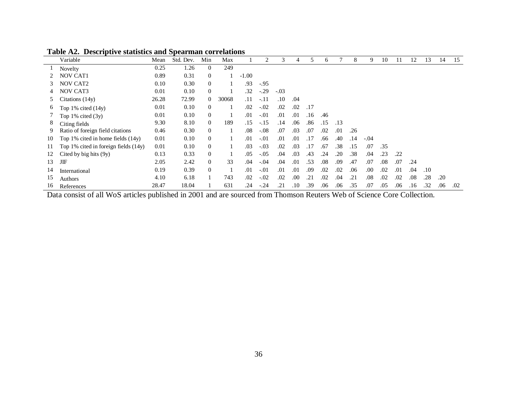|          | Variable                               | Mean  | Std. Dev. | Min            | Max   |         | $\overline{c}$ | 3      | 4   | 5   | 6   |     | 8   | 9      | 10  | 11  | 12  | 13  | 14  | 15  |
|----------|----------------------------------------|-------|-----------|----------------|-------|---------|----------------|--------|-----|-----|-----|-----|-----|--------|-----|-----|-----|-----|-----|-----|
|          | <b>Novelty</b>                         | 0.25  | 1.26      | $\Omega$       | 249   |         |                |        |     |     |     |     |     |        |     |     |     |     |     |     |
|          | <b>NOV CAT1</b>                        | 0.89  | 0.31      | $\Omega$       |       | $-1.00$ |                |        |     |     |     |     |     |        |     |     |     |     |     |     |
| 3.       | <b>NOV CAT2</b>                        | 0.10  | 0.30      | $\Omega$       |       | .93     | $-.95$         |        |     |     |     |     |     |        |     |     |     |     |     |     |
|          | <b>NOV CAT3</b>                        | 0.01  | 0.10      | $\overline{0}$ |       | .32     | $-.29$         | $-.03$ |     |     |     |     |     |        |     |     |     |     |     |     |
| 5        | Citations (14y)                        | 26.28 | 72.99     | $\theta$       | 30068 | .11     | $-.11$         | .10    | .04 |     |     |     |     |        |     |     |     |     |     |     |
| $\sigma$ | Top $1\%$ cited $(14y)$                | 0.01  | 0.10      | $\Omega$       |       | .02     | $-.02$         | .02    | .02 | .17 |     |     |     |        |     |     |     |     |     |     |
|          | Top $1\%$ cited $(3y)$                 | 0.01  | 0.10      | $\Omega$       | 1     | .01     | $-.01$         | .01    | .01 | .16 | .46 |     |     |        |     |     |     |     |     |     |
| 8        | Citing fields                          | 9.30  | 8.10      | $\Omega$       | 189   | .15     | $-.15$         | .14    | .06 | .86 | .15 | .13 |     |        |     |     |     |     |     |     |
| 9.       | Ratio of foreign field citations       | 0.46  | 0.30      | $\Omega$       | 1     | .08     | $-.08$         | .07    | .03 | .07 | .02 | .01 | .26 |        |     |     |     |     |     |     |
| 10       | Top 1% cited in home fields $(14y)$    | 0.01  | 0.10      | $\Omega$       | 1     | .01     | $-.01$         | .01    | .01 | .17 | .66 | .40 | .14 | $-.04$ |     |     |     |     |     |     |
| 11       | Top 1% cited in foreign fields $(14y)$ | 0.01  | 0.10      | $\Omega$       |       | .03     | $-.03$         | .02    | .03 | .17 | .67 | .38 | .15 | .07    | .35 |     |     |     |     |     |
|          | Cited by big hits (9y)                 | 0.13  | 0.33      | $\Omega$       |       | .05     | $-.05$         | .04    | .03 | .43 | .24 | .20 | .38 | .04    | .23 | .22 |     |     |     |     |
| 13       | JIF                                    | 2.05  | 2.42      | $\Omega$       | 33    | .04     | $-.04$         | .04    | .01 | .53 | .08 | .09 | .47 | .07    | .08 | .07 | .24 |     |     |     |
| 14       | International                          | 0.19  | 0.39      | $\Omega$       |       | .01     | $-.01$         | .01    | .01 | .09 | .02 | .02 | .06 | .00    | .02 | .01 | .04 | .10 |     |     |
| 15       | Authors                                | 4.10  | 6.18      |                | 743   | .02     | $-.02$         | .02    | .00 | .21 | .02 | .04 | .21 | .08    | .02 | .02 | .08 | .28 | .20 |     |
| 16       | References                             | 28.47 | 18.04     |                | 631   | .24     | $-.24$         | .21    | .10 | .39 | .06 | .06 | .35 | .07    | .05 | .06 | .16 | .32 | .06 | .02 |

**Table A2. Descriptive statistics and Spearman correlations**

Data consist of all WoS articles published in 2001 and are sourced from Thomson Reuters Web of Science Core Collection.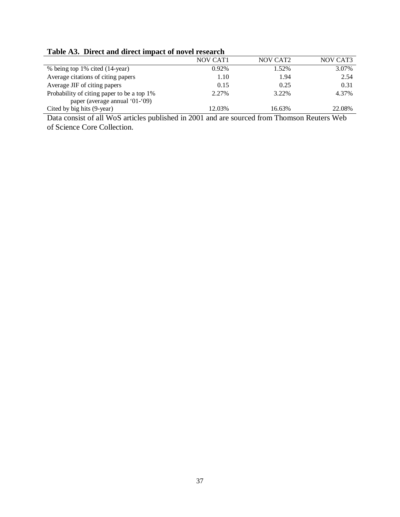|                                                                              | NOV CAT <sub>1</sub> | NOV CAT <sub>2</sub> | NOV CAT3 |
|------------------------------------------------------------------------------|----------------------|----------------------|----------|
| % being top 1% cited (14-year)                                               | 0.92%                | 1.52%                | 3.07%    |
| Average citations of citing papers                                           | 1.10                 | 1.94                 | 2.54     |
| Average JIF of citing papers                                                 | 0.15                 | 0.25                 | 0.31     |
| Probability of citing paper to be a top 1%<br>paper (average annual '01-'09) | 2.27%                | 3.22%                | 4.37%    |
| Cited by big hits (9-year)                                                   | 12.03%               | 16.63%               | 22.08%   |

# **Table A3. Direct and direct impact of novel research**

Data consist of all WoS articles published in 2001 and are sourced from Thomson Reuters Web of Science Core Collection.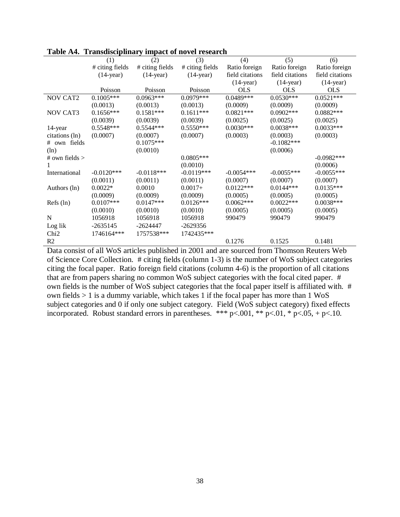|                    | (1)             | (2)             | (3)             | (4)             | (5)             | (6)             |
|--------------------|-----------------|-----------------|-----------------|-----------------|-----------------|-----------------|
|                    | # citing fields | # citing fields | # citing fields | Ratio foreign   | Ratio foreign   | Ratio foreign   |
|                    | $(14$ -year)    | $(14$ -year)    | $(14$ -year)    | field citations | field citations | field citations |
|                    |                 |                 |                 | $(14$ -year)    | $(14$ -year)    | $(14-year)$     |
|                    | Poisson         | Poisson         | Poisson         | <b>OLS</b>      | <b>OLS</b>      | <b>OLS</b>      |
| <b>NOV CAT2</b>    | $0.1005***$     | $0.0963***$     | $0.0979***$     | $0.0489***$     | $0.0530***$     | $0.0521***$     |
|                    | (0.0013)        | (0.0013)        | (0.0013)        | (0.0009)        | (0.0009)        | (0.0009)        |
| NOV CAT3           | $0.1656***$     | $0.1581***$     | $0.1611***$     | $0.0821***$     | $0.0902$ ***    | $0.0882***$     |
|                    | (0.0039)        | (0.0039)        | (0.0039)        | (0.0025)        | (0.0025)        | (0.0025)        |
| 14-year            | $0.5548***$     | $0.5544***$     | $0.5550***$     | $0.0030***$     | $0.0038***$     | $0.0033***$     |
| citations (ln)     | (0.0007)        | (0.0007)        | (0.0007)        | (0.0003)        | (0.0003)        | (0.0003)        |
| # own fields       |                 | $0.1075***$     |                 |                 | $-0.1082***$    |                 |
| (ln)               |                 | (0.0010)        |                 |                 | (0.0006)        |                 |
| # own fields $>$   |                 |                 | $0.0805***$     |                 |                 | $-0.0982***$    |
|                    |                 |                 | (0.0010)        |                 |                 | (0.0006)        |
| International      | $-0.0120***$    | $-0.0118***$    | $-0.0119***$    | $-0.0054***$    | $-0.0055***$    | $-0.0055***$    |
|                    | (0.0011)        | (0.0011)        | (0.0011)        | (0.0007)        | (0.0007)        | (0.0007)        |
| Authors (ln)       | $0.0022*$       | 0.0010          | $0.0017+$       | $0.0122***$     | $0.0144***$     | $0.0135***$     |
|                    | (0.0009)        | (0.0009)        | (0.0009)        | (0.0005)        | (0.0005)        | (0.0005)        |
| $\text{Refs}$ (ln) | $0.0107***$     | $0.0147***$     | $0.0126***$     | $0.0062***$     | $0.0022***$     | $0.0038***$     |
|                    | (0.0010)        | (0.0010)        | (0.0010)        | (0.0005)        | (0.0005)        | (0.0005)        |
| N                  | 1056918         | 1056918         | 1056918         | 990479          | 990479          | 990479          |
| Log lik            | $-2635145$      | $-2624447$      | $-2629356$      |                 |                 |                 |
| Chi <sub>2</sub>   | 1746164***      | 1757538***      | 1742435***      |                 |                 |                 |
| R <sub>2</sub>     |                 |                 |                 | 0.1276          | 0.1525          | 0.1481          |

**Table A4. Transdisciplinary impact of novel research**

Data consist of all WoS articles published in 2001 and are sourced from Thomson Reuters Web of Science Core Collection. # citing fields (column 1-3) is the number of WoS subject categories citing the focal paper. Ratio foreign field citations (column 4-6) is the proportion of all citations that are from papers sharing no common WoS subject categories with the focal cited paper. # own fields is the number of WoS subject categories that the focal paper itself is affiliated with. # own fields  $> 1$  is a dummy variable, which takes 1 if the focal paper has more than 1 WoS subject categories and 0 if only one subject category. Field (WoS subject category) fixed effects incorporated. Robust standard errors in parentheses. \*\*\* p<.001, \*\* p<.01, \* p<.05, + p<.10.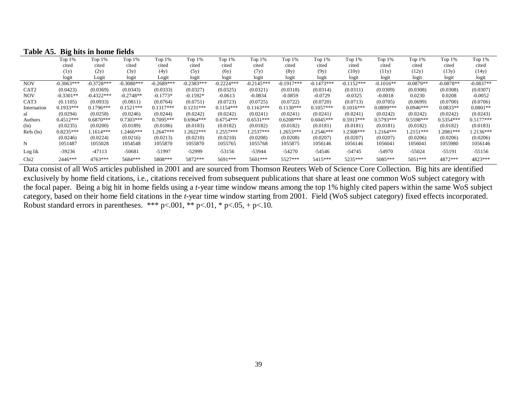|  | Table A5. Big hits in home fields |  |
|--|-----------------------------------|--|
|--|-----------------------------------|--|

|                    | Top 1%       | Top $1\%$    | Top $1\%$    | Top $1\%$    | Top $1\%$    | Top $1\%$    | Top $1\%$    | Top $1\%$    | Top $1\%$    | Top $1\%$    | Top $1\%$   | Top $1\%$   | Top $1\%$   | Top $1\%$   |
|--------------------|--------------|--------------|--------------|--------------|--------------|--------------|--------------|--------------|--------------|--------------|-------------|-------------|-------------|-------------|
|                    | cited        | cited        | cited        | cited        | cited        | cited        | cited        | cited        | cited        | cited        | cited       | cited       | cited       | cited       |
|                    | (1y)         | (2y)         | (3y)         | (4y)         | (5y)         | (6y)         | (7y)         | (8y)         | (9y)         | (10y)        | (11y)       | (12y)       | (13y)       | (14y)       |
|                    | logit        | Logit        | logit        | Logit        | logit        | logit        | logit        | logit        | logit        | logit        | logit       | logit       | logit       | logit       |
| <b>NOV</b>         | $-0.3063***$ | $-0.3728***$ | $-0.3080***$ | $-0.2689***$ | $-0.2383***$ | $-0.2224***$ | $-0.2145***$ | $-0.1917***$ | $-0.1473***$ | $-0.1152***$ | $-0.1016**$ | $-0.0879**$ | $-0.0878**$ | $-0.0837**$ |
| CAT <sub>2</sub>   | (0.0423)     | (0.0369)     | (0.0343)     | (0.0333)     | (0.0327)     | (0.0325)     | (0.0321)     | (0.0318)     | (0.0314)     | (0.0311)     | (0.0309)    | (0.0308)    | (0.0308)    | (0.0307)    |
| <b>NOV</b>         | $-0.3301**$  | $-0.4322***$ | $-0.2748**$  | $-0.1773*$   | $-0.1592*$   | $-0.0613$    | $-0.0834$    | $-0.0859$    | $-0.0729$    | $-0.0325$    | $-0.0018$   | 0.0230      | 0.0208      | $-0.0052$   |
| CAT3               | (0.1105)     | (0.0933)     | (0.0811)     | (0.0764)     | (0.0751)     | (0.0723)     | (0.0725)     | (0.0722)     | (0.0720)     | (0.0713)     | (0.0705)    | (0.0699)    | (0.0700)    | (0.0706)    |
| Internation        | $0.1933***$  | $0.1796***$  | $0.1521***$  | $0.1317***$  | $0.1231***$  | $0.1154***$  | $0.1163***$  | $0.1130***$  | $0.1057***$  | $0.1016***$  | 0.0899***   | $0.0946***$ | $0.0833**$  | $0.0801**$  |
| al                 | (0.0294)     | (0.0258)     | (0.0246)     | (0.0244)     | (0.0242)     | (0.0242)     | (0.0241)     | (0.0241)     | (0.0241)     | (0.0241)     | (0.0242)    | (0.0242)    | (0.0242)    | (0.0243)    |
| Authors            | $0.4512***$  | $0.6870***$  | $0.7303***$  | $0.7095***$  | $0.6964***$  | $0.6754***$  | $0.6531***$  | $0.6208***$  | $0.6045***$  | $0.5913***$  | $0.5793***$ | $0.5598***$ | $0.5354***$ | $0.5177***$ |
| (ln)               | (0.0235)     | (0.0200)     | (0.0189)     | (0.0186)     | (0.0183)     | (0.0182)     | (0.0182)     | (0.0182)     | (0.0181)     | (0.0181)     | (0.0181)    | (0.0182)    | (0.0182)    | (0.0183)    |
| $\text{Refs}$ (ln) | $0.8235***$  | $.1614***$   | $1.2466***$  | 1.2647***    | 1.2622***    | 1.2557***    | 1.2537***    | 1.2653***    | $1.2546***$  | 1.2308***    | 1.2164***   | $1.2151***$ | $.2081***$  | $1.2136***$ |
|                    | (0.0246)     | (0.0224)     | (0.0216)     | (0.0213)     | (0.0210)     | (0.0210)     | (0.0208)     | (0.0208)     | (0.0207)     | (0.0207)     | (0.0207)    | (0.0206)    | (0.0206)    | (0.0206)    |
| N                  | 1051487      | 1055028      | 1054548      | 1055870      | 1055870      | 1055765      | 1055768      | 1055875      | 1056146      | 1056146      | 1056041     | 1056041     | 1055980     | 1056146     |
| Log lik            | $-39236$     | $-47113$     | $-50681$     | $-51997$     | $-52999$     | $-53156$     | $-53944$     | $-54270$     | $-54546$     | $-54745$     | $-54970$    | $-55024$    | $-55191$    | $-55156$    |
| Chi2               | 2446***      | $4763***$    | 5684***      | 5808***      | 5872***      | 5691***      | 5601***      | 5527***      | 5415***      | 5235***      | 5085***     | 5051***     | 4872***     | 4823***     |

Data consist of all WoS articles published in 2001 and are sourced from Thomson Reuters Web of Science Core Collection. Big hits are identified exclusively by home field citations, i.e., citations received from subsequent publications that share at least one common WoS subject category with the focal paper. Being a big hit in home fields using a *t*-year time window means among the top 1% highly cited papers within the same WoS subject category, based on their home field citations in the *t*-year time window starting from 2001. Field (WoS subject category) fixed effects incorporated. Robust standard errors in parentheses. \*\*\* p<.001, \*\* p<.01, \* p<.05, + p<.10.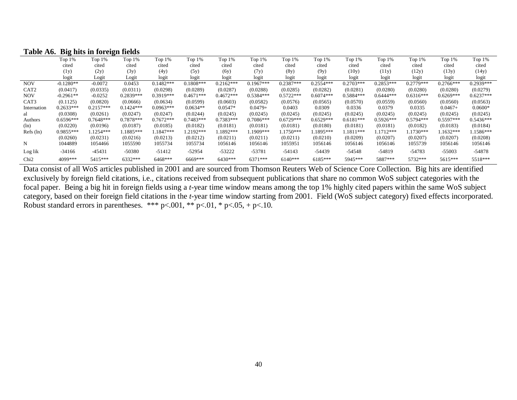|                    | $\overline{\phantom{a}}$ | $\overline{\phantom{a}}$ |             |             |             |             |             |             |             |             |             |             |             |             |
|--------------------|--------------------------|--------------------------|-------------|-------------|-------------|-------------|-------------|-------------|-------------|-------------|-------------|-------------|-------------|-------------|
|                    | Top $1\%$                | Top $1\%$                | Top $1\%$   | Top $1\%$   | Top $1\%$   | Top $1\%$   | Top $1\%$   | Top $1\%$   | Top $1\%$   | Top $1\%$   | Top $1\%$   | Top $1\%$   | Top $1\%$   | Top $1\%$   |
|                    | cited                    | cited                    | cited       | cited       | cited       | cited       | cited       | cited       | cited       | cited       | cited       | cited       | cited       | cited       |
|                    | (1y)                     | (2y)                     | (3y)        | (4y)        | (5y)        | (6y)        | (7y)        | (8y)        | (9y)        | (10y)       | (11y)       | (12y)       | (13y)       | (14y)       |
|                    | logit                    | Logit                    | Logit       | logit       | logit       | logit       | logit       | logit       | logit       | logit       | logit       | logit       | logit       | logit       |
| <b>NOV</b>         | $-0.1280**$              | $-0.0072$                | 0.0453      | $0.1482***$ | $0.1808***$ | $0.2162***$ | $0.1967***$ | $0.2387***$ | $0.2554***$ | $0.2703***$ | $0.2853***$ | $0.2779***$ | $0.2766***$ | $0.2939***$ |
| CAT <sub>2</sub>   | (0.0417)                 | (0.0335)                 | (0.0311)    | (0.0298)    | (0.0289)    | (0.0287)    | (0.0288)    | (0.0285)    | (0.0282)    | (0.0281)    | (0.0280)    | (0.0280)    | (0.0280)    | (0.0279)    |
| <b>NOV</b>         | $-0.2961**$              | $-0.0252$                | $0.2839***$ | $0.3919***$ | $0.4671***$ | $0.4672***$ | $0.5384***$ | $0.5722***$ | $0.6074***$ | $0.5884***$ | $0.6444***$ | $0.6316***$ | $0.6269***$ | $0.6237***$ |
| CAT <sub>3</sub>   | (0.1125)                 | (0.0820)                 | (0.0666)    | (0.0634)    | (0.0599)    | (0.0603)    | (0.0582)    | (0.0576)    | (0.0565)    | (0.0570)    | (0.0559)    | (0.0560)    | (0.0560)    | (0.0563)    |
| Internation        | $0.2633***$              | $0.2157***$              | $0.1424***$ | $0.0963***$ | $0.0634**$  | $0.0547*$   | $0.0479 +$  | 0.0403      | 0.0309      | 0.0336      | 0.0379      | 0.0335      | $0.0467 +$  | $0.0600*$   |
| al                 | (0.0308)                 | (0.0261)                 | (0.0247)    | (0.0247)    | (0.0244)    | (0.0245)    | (0.0245)    | (0.0245)    | (0.0245)    | (0.0245)    | (0.0245)    | (0.0245)    | (0.0245)    | (0.0245)    |
| Authors            | $0.6596***$              | $0.7648***$              | $0.7878***$ | $0.7672***$ | $0.7483***$ | $0.7383***$ | $0.7086***$ | $0.6729***$ | $0.6529***$ | $0.6181***$ | $0.5926***$ | $0.5794***$ | $0.5597***$ | $0.5436***$ |
| (ln)               | (0.0220)                 | (0.0196)                 | (0.0187)    | (0.0185)    | (0.0182)    | (0.0181)    | (0.0181)    | (0.0181)    | (0.0180)    | (0.0181)    | (0.0181)    | (0.0182)    | (0.0183)    | (0.0184)    |
| $\text{Refs}(\ln)$ | $0.9855***$              | $.1254***$               | 1.1885***   | $.1847***$  | !.2192***   | $.1892***$  | $.1909***$  | 1.1750***   | !.1895***   | $1.1811***$ | $1.1712***$ | 1.1730***   | $1.1632***$ | 1.1586***   |
|                    | (0.0260)                 | (0.0231)                 | (0.0216)    | (0.0213)    | (0.0212)    | (0.0211)    | (0.0211)    | (0.0211)    | (0.0210)    | (0.0209)    | (0.0207)    | (0.0207)    | (0.0207)    | (0.0208)    |
| N                  | 1044889                  | 1054466                  | 1055590     | 1055734     | 1055734     | 1056146     | 1056146     | 1055951     | 1056146     | 1056146     | 1056146     | 1055739     | 1056146     | 1056146     |
| Log lik            | $-34166$                 | $-45431$                 | -50380      | $-51412$    | $-52954$    | $-53222$    | $-53781$    | $-54143$    | -54439      | $-54548$    | $-54819$    | $-54783$    | $-55003$    | -54878      |
| Chi <sub>2</sub>   | 4099***                  | 5415***                  | 6332***     | 6468***     | 6669***     | 6430***     | 6371***     | $6140***$   | 6185***     | 5945***     | 5887***     | 5732***     | 5615***     | 5518***     |
|                    |                          |                          |             |             |             |             |             |             |             |             |             |             |             |             |

#### **Table A6. Big hits in foreign fields**

Data consist of all WoS articles published in 2001 and are sourced from Thomson Reuters Web of Science Core Collection. Big hits are identified exclusively by foreign field citations, i.e., citations received from subsequent publications that share no common WoS subject categories with the focal paper. Being a big hit in foreign fields using a *t*-year time window means among the top 1% highly cited papers within the same WoS subject category, based on their foreign field citations in the *t*-year time window starting from 2001. Field (WoS subject category) fixed effects incorporated. Robust standard errors in parentheses. \*\*\* p<.001, \*\* p<.01, \* p<.05, + p<.10.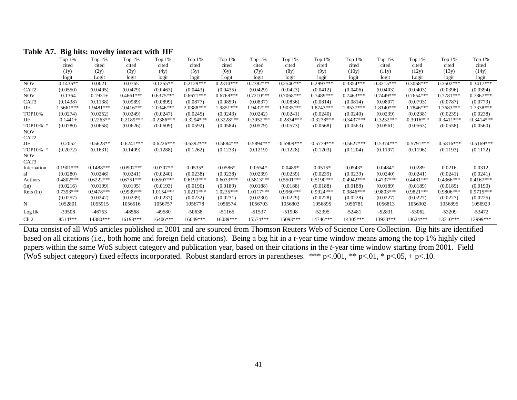|                    | Top $1\%$   | Top $1\%$   | Top $1\%$    | Top $1\%$    | Top $1\%$    | Top $1\%$    | Top 1%       | Top $1\%$    | Top $1\%$    | Top $1\%$    | Top $1\%$    | Top $1\%$    | Top $1\%$    | Top $1\%$    |
|--------------------|-------------|-------------|--------------|--------------|--------------|--------------|--------------|--------------|--------------|--------------|--------------|--------------|--------------|--------------|
|                    | cited       | cited       | cited        | cited        | cited        | cited        | cited        | cited        | cited        | cited        | cited        | cited        | cited        | cited        |
|                    | (1y)        | (2y)        | (3y)         | (4y)         | (5y)         | (6y)         | (7y)         | (8y)         | (9y)         | (10y)        | (11y)        | (12y)        | (13y)        | (14y)        |
|                    | logit       | Logit       | logit        | logit        | logit        | Logit        | logit        | logit        | logit        | logit        | logit        | Logit        | logit        | logit        |
| <b>NOV</b>         | $-0.1436**$ | 0.0021      | 0.0765       | $0.1255**$   | $0.2129***$  | 0.2310***    | $0.2382***$  | $0.2540***$  | 0.2993***    | 0.3354***    | $0.3315***$  | 0.3068***    | $0.3502***$  | $0.3417***$  |
| CAT <sub>2</sub>   | (0.0550)    | (0.0495)    | (0.0479)     | (0.0463)     | (0.0443)     | (0.0435)     | (0.0429)     | (0.0423)     | (0.0412)     | (0.0406)     | (0.0403)     | (0.0403)     | (0.0396)     | (0.0394)     |
| <b>NOV</b>         | $-0.1364$   | $0.1931+$   | $0.4661***$  | $0.6375***$  | $0.6671***$  | $0.6769***$  | $0.7210***$  | $0.7068***$  | $0.7489***$  | $0.7463***$  | $0.7449***$  | $0.7654***$  | $0.7781***$  | $0.7867***$  |
| CAT3               | (0.1438)    | (0.1138)    | (0.0989)     | (0.0899)     | (0.0877)     | (0.0859)     | (0.0837)     | (0.0836)     | (0.0814)     | (0.0814)     | (0.0807)     | (0.0793)     | (0.0787)     | (0.0779)     |
| JIF                | .5661***    | 1.9481***   | $2.0416***$  | $2.0346***$  | 2.0388***    | 1.9851***    | 1.9432***    | 1.9035***    | 1.8743***    | 1.8537***    | 1.8140***    | 1.7846***    | 1.7683***    | 1.7338***    |
| <b>TOP10%</b>      | (0.0274)    | (0.0252)    | (0.0249)     | (0.0247)     | (0.0245)     | (0.0243)     | (0.0242)     | (0.0241)     | (0.0240)     | (0.0240)     | (0.0239)     | (0.0238)     | (0.0239)     | (0.0238)     |
| JIF                | $-0.1441+$  | $-0.2263**$ | $-0.2189***$ | $-0.2386***$ | $-0.3294***$ | $-0.3228***$ | $-0.3052***$ | $-0.2834***$ | $-0.3278***$ | $-0.3437***$ | $-0.3232***$ | $-0.3016***$ | $-0.3411***$ | $-0.3414***$ |
| TOP10% *           | (0.0780)    | (0.0658)    | (0.0626)     | (0.0609)     | (0.0592)     | (0.0584)     | (0.0579)     | (0.0573)     | (0.0568)     | (0.0563)     | (0.0561)     | (0.0563)     | (0.0558)     | (0.0560)     |
| <b>NOV</b>         |             |             |              |              |              |              |              |              |              |              |              |              |              |              |
| CAT <sub>2</sub>   |             |             |              |              |              |              |              |              |              |              |              |              |              |              |
| <b>JIF</b>         | $-0.2052$   | $-0.5628**$ | $-0.6241***$ | $-0.6226***$ | $-0.6392***$ | $-0.5684***$ | $-0.5894***$ | $-0.5909***$ | $-0.5779***$ | $-0.5627***$ | $-0.5374***$ | $-0.5791***$ | $-0.5816***$ | $-0.5169***$ |
| TOP10% *           | (0.2072)    | (0.1631)    | (0.1409)     | (0.1288)     | (0.1262)     | (0.1233)     | (0.1219)     | (0.1228)     | (0.1203)     | (0.1204)     | (0.1197)     | (0.1196)     | (0.1193)     | (0.1172)     |
| <b>NOV</b>         |             |             |              |              |              |              |              |              |              |              |              |              |              |              |
| CAT3               |             |             |              |              |              |              |              |              |              |              |              |              |              |              |
| Internation        | $0.1901***$ | $0.1488***$ | $0.0907***$  | $0.0707**$   | $0.0535*$    | $0.0586*$    | $0.0554*$    | $0.0489*$    | $0.0515*$    | $0.0543*$    | $0.0484*$    | 0.0289       | 0.0216       | 0.0312       |
| al                 | (0.0280)    | (0.0246)    | (0.0241)     | (0.0240)     | (0.0238)     | (0.0238)     | (0.0239)     | (0.0239)     | (0.0239)     | (0.0239)     | (0.0240)     | (0.0241)     | (0.0241)     | (0.0241)     |
| Authors            | $0.4802***$ | $0.6222***$ | $0.6751***$  | $0.6507***$  | $0.6193***$  | $0.6033***$  | $0.5813***$  | $0.5501***$  | $0.5190***$  | $0.4942***$  | $0.4737***$  | $0.4481***$  | $0.4366***$  | $0.4167***$  |
| (ln)               | (0.0216)    | (0.0199)    | (0.0195)     | (0.0193)     | (0.0190)     | (0.0189)     | (0.0188)     | (0.0188)     | (0.0188)     | (0.0188)     | (0.0189)     | (0.0189)     | (0.0189)     | (0.0190)     |
| $\text{Refs}$ (ln) | $0.7393***$ | $0.9478***$ | $0.9939***$  | 1.0154***    | $1.0211***$  | $1.0235***$  | 1.0117***    | $0.9960***$  | $0.9924***$  | $0.9846***$  | $0.9803***$  | $0.9821***$  | 0.9806***    | $0.9715***$  |
|                    | (0.0257)    | (0.0242)    | (0.0239)     | (0.0237)     | (0.0232)     | (0.0231)     | (0.0230)     | (0.0229)     | (0.0228)     | (0.0228)     | (0.0227)     | (0.0227)     | (0.0227)     | (0.0225)     |
| N                  | 1052801     | 1055915     | 1056516      | 1056757      | 1056778      | 1056574      | 1056703      | 1056803      | 1056895      | 1056781      | 1056813      | 1056902      | 1056895      | 1056929      |
| Log lik            | $-39508$    | $-46753$    | -48568       | -49580       | $-50638$     | $-51165$     | $-51537$     | $-51998$     | $-52395$     | $-52481$     | $-52831$     | $-53062$     | $-53209$     | $-53472$     |
| Chi <sub>2</sub>   | 8514***     | 14380***    | 16198***     | 16406***     | 16649***     | 16089***     | 15574 ***    | 15093***     | 14746***     | 14305***     | 13933***     | 13624***     | 13310***     | 12999***     |
|                    |             |             |              |              |              |              |              |              |              |              |              |              |              |              |

**Table A7. Big hits: novelty interact with JIF**

Data consist of all WoS articles published in 2001 and are sourced from Thomson Reuters Web of Science Core Collection. Big hits are identified based on all citations (i.e., both home and foreign field citations). Being a big hit in a *t*-year time window means among the top 1% highly cited papers within the same WoS subject category and publication year, based on their citations in the *t*-year time window starting from 2001. Field (WoS subject category) fixed effects incorporated. Robust standard errors in parentheses. \*\*\* p<.001, \*\* p<.01, \* p<.05, + p<.10.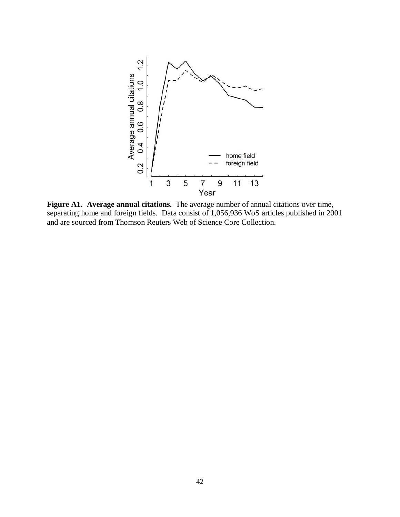

**Figure A1. Average annual citations.** The average number of annual citations over time, separating home and foreign fields.Data consist of 1,056,936 WoS articles published in 2001 and are sourced from Thomson Reuters Web of Science Core Collection.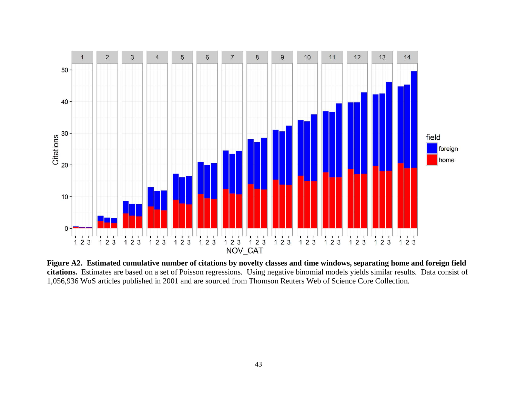

**Figure A2. Estimated cumulative number of citations by novelty classes and time windows, separating home and foreign field citations.** Estimates are based on a set of Poisson regressions. Using negative binomial models yields similar results. Data consist of 1,056,936 WoS articles published in 2001 and are sourced from Thomson Reuters Web of Science Core Collection.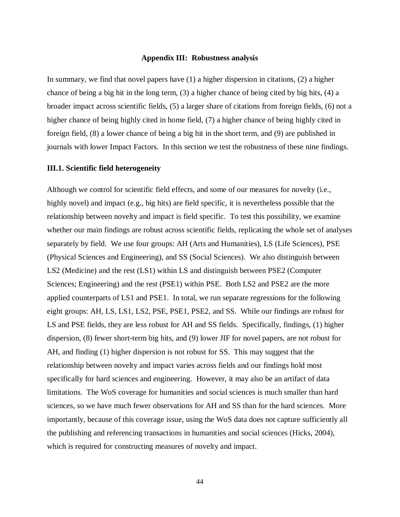#### **Appendix III: Robustness analysis**

In summary, we find that novel papers have (1) a higher dispersion in citations, (2) a higher chance of being a big hit in the long term, (3) a higher chance of being cited by big hits, (4) a broader impact across scientific fields, (5) a larger share of citations from foreign fields, (6) not a higher chance of being highly cited in home field, (7) a higher chance of being highly cited in foreign field, (8) a lower chance of being a big hit in the short term, and (9) are published in journals with lower Impact Factors. In this section we test the robustness of these nine findings.

#### **III.1. Scientific field heterogeneity**

Although we control for scientific field effects, and some of our measures for novelty (i.e., highly novel) and impact (e.g., big hits) are field specific, it is nevertheless possible that the relationship between novelty and impact is field specific. To test this possibility, we examine whether our main findings are robust across scientific fields, replicating the whole set of analyses separately by field. We use four groups: AH (Arts and Humanities), LS (Life Sciences), PSE (Physical Sciences and Engineering), and SS (Social Sciences). We also distinguish between LS2 (Medicine) and the rest (LS1) within LS and distinguish between PSE2 (Computer Sciences; Engineering) and the rest (PSE1) within PSE. Both LS2 and PSE2 are the more applied counterparts of LS1 and PSE1. In total, we run separate regressions for the following eight groups: AH, LS, LS1, LS2, PSE, PSE1, PSE2, and SS. While our findings are robust for LS and PSE fields, they are less robust for AH and SS fields. Specifically, findings, (1) higher dispersion, (8) fewer short-term big hits, and (9) lower JIF for novel papers, are not robust for AH, and finding (1) higher dispersion is not robust for SS. This may suggest that the relationship between novelty and impact varies across fields and our findings hold most specifically for hard sciences and engineering. However, it may also be an artifact of data limitations. The WoS coverage for humanities and social sciences is much smaller than hard sciences, so we have much fewer observations for AH and SS than for the hard sciences. More importantly, because of this coverage issue, using the WoS data does not capture sufficiently all the publishing and referencing transactions in humanities and social sciences (Hicks, 2004), which is required for constructing measures of novelty and impact.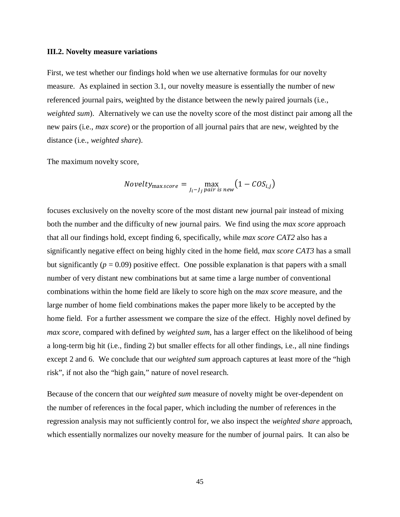#### **III.2. Novelty measure variations**

First, we test whether our findings hold when we use alternative formulas for our novelty measure. As explained in section 3.1, our novelty measure is essentially the number of new referenced journal pairs, weighted by the distance between the newly paired journals (i.e., *weighted sum*). Alternatively we can use the novelty score of the most distinct pair among all the new pairs (i.e., *max score*) or the proportion of all journal pairs that are new, weighted by the distance (i.e., *weighted share*).

The maximum novelty score,

$$
Novelty_{\max score} = \max_{J_i - J_j \text{ pair is new}} (1 - COS_{i,j})
$$

focuses exclusively on the novelty score of the most distant new journal pair instead of mixing both the number and the difficulty of new journal pairs. We find using the *max score* approach that all our findings hold, except finding 6, specifically, while *max score CAT2* also has a significantly negative effect on being highly cited in the home field, *max score CAT3* has a small but significantly ( $p = 0.09$ ) positive effect. One possible explanation is that papers with a small number of very distant new combinations but at same time a large number of conventional combinations within the home field are likely to score high on the *max score* measure, and the large number of home field combinations makes the paper more likely to be accepted by the home field. For a further assessment we compare the size of the effect. Highly novel defined by *max score,* compared with defined by *weighted sum*, has a larger effect on the likelihood of being a long-term big hit (i.e., finding 2) but smaller effects for all other findings, i.e., all nine findings except 2 and 6. We conclude that our *weighted sum* approach captures at least more of the "high risk", if not also the "high gain," nature of novel research.

Because of the concern that our *weighted sum* measure of novelty might be over-dependent on the number of references in the focal paper, which including the number of references in the regression analysis may not sufficiently control for, we also inspect the *weighted share* approach, which essentially normalizes our novelty measure for the number of journal pairs. It can also be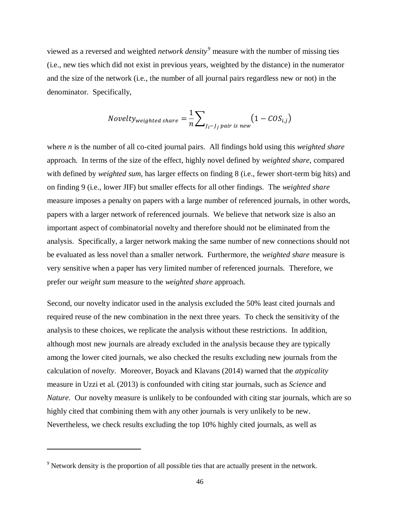viewed as a reversed and weighted *network density[9](#page-47-0)* measure with the number of missing ties (i.e., new ties which did not exist in previous years, weighted by the distance) in the numerator and the size of the network (i.e., the number of all journal pairs regardless new or not) in the denominator. Specifically,

*Novelty<sub>weighted share</sub>* = 
$$
\frac{1}{n} \sum_{J_i-J_j pair is new} (1 - COS_{i,j})
$$

where *n* is the number of all co-cited journal pairs. All findings hold using this *weighted share* approach. In terms of the size of the effect, highly novel defined by *weighted share,* compared with defined by *weighted sum*, has larger effects on finding 8 (i.e., fewer short-term big hits) and on finding 9 (i.e., lower JIF) but smaller effects for all other findings. The *weighted share* measure imposes a penalty on papers with a large number of referenced journals, in other words, papers with a larger network of referenced journals. We believe that network size is also an important aspect of combinatorial novelty and therefore should not be eliminated from the analysis. Specifically, a larger network making the same number of new connections should not be evaluated as less novel than a smaller network. Furthermore, the *weighted share* measure is very sensitive when a paper has very limited number of referenced journals. Therefore, we prefer our *weight sum* measure to the *weighted share* approach.

Second, our novelty indicator used in the analysis excluded the 50% least cited journals and required reuse of the new combination in the next three years. To check the sensitivity of the analysis to these choices, we replicate the analysis without these restrictions. In addition, although most new journals are already excluded in the analysis because they are typically among the lower cited journals, we also checked the results excluding new journals from the calculation of *novelty*. Moreover, Boyack and Klavans (2014) warned that the *atypicality* measure in Uzzi et al. (2013) is confounded with citing star journals, such as *Science* and *Nature*. Our novelty measure is unlikely to be confounded with citing star journals, which are so highly cited that combining them with any other journals is very unlikely to be new. Nevertheless, we check results excluding the top 10% highly cited journals, as well as

 $\overline{a}$ 

<span id="page-47-0"></span><sup>&</sup>lt;sup>9</sup> Network density is the proportion of all possible ties that are actually present in the network.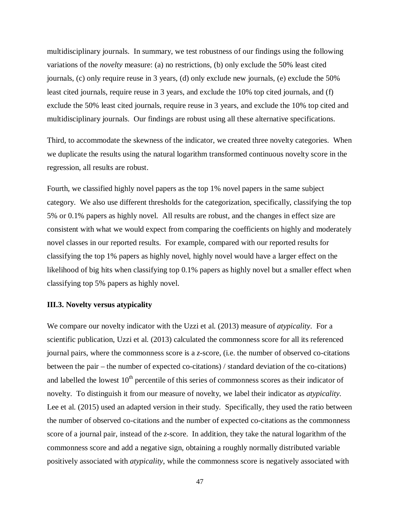multidisciplinary journals. In summary, we test robustness of our findings using the following variations of the *novelty* measure: (a) no restrictions, (b) only exclude the 50% least cited journals, (c) only require reuse in 3 years, (d) only exclude new journals, (e) exclude the 50% least cited journals, require reuse in 3 years, and exclude the 10% top cited journals, and (f) exclude the 50% least cited journals, require reuse in 3 years, and exclude the 10% top cited and multidisciplinary journals. Our findings are robust using all these alternative specifications.

Third, to accommodate the skewness of the indicator, we created three novelty categories. When we duplicate the results using the natural logarithm transformed continuous novelty score in the regression, all results are robust.

Fourth, we classified highly novel papers as the top 1% novel papers in the same subject category. We also use different thresholds for the categorization, specifically, classifying the top 5% or 0.1% papers as highly novel. All results are robust, and the changes in effect size are consistent with what we would expect from comparing the coefficients on highly and moderately novel classes in our reported results. For example, compared with our reported results for classifying the top 1% papers as highly novel, highly novel would have a larger effect on the likelihood of big hits when classifying top 0.1% papers as highly novel but a smaller effect when classifying top 5% papers as highly novel.

## **III.3. Novelty versus atypicality**

We compare our novelty indicator with the Uzzi et al. (2013) measure of *atypicality*. For a scientific publication, Uzzi et al. (2013) calculated the commonness score for all its referenced journal pairs, where the commonness score is a *z*-score, (i.e. the number of observed co-citations between the pair – the number of expected co-citations) / standard deviation of the co-citations) and labelled the lowest  $10<sup>th</sup>$  percentile of this series of commonness scores as their indicator of novelty. To distinguish it from our measure of novelty, we label their indicator as *atypicality*. Lee et al. (2015) used an adapted version in their study. Specifically, they used the ratio between the number of observed co-citations and the number of expected co-citations as the commonness score of a journal pair, instead of the *z*-score. In addition, they take the natural logarithm of the commonness score and add a negative sign, obtaining a roughly normally distributed variable positively associated with *atypicality*, while the commonness score is negatively associated with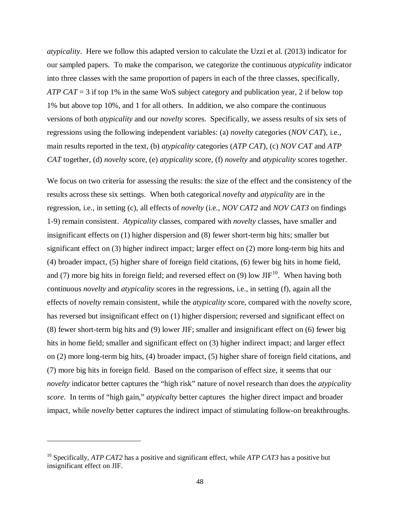*atypicality*. Here we follow this adapted version to calculate the Uzzi et al. (2013) indicator for our sampled papers. To make the comparison, we categorize the continuous *atypicality* indicator into three classes with the same proportion of papers in each of the three classes, specifically, *ATP CAT* = 3 if top 1% in the same WoS subject category and publication year, 2 if below top 1% but above top 10%, and 1 for all others. In addition, we also compare the continuous versions of both *atypicality* and our *novelty* scores. Specifically, we assess results of six sets of regressions using the following independent variables: (a) *novelty* categories (*NOV CAT*), i.e., main results reported in the text, (b) *atypicality* categories (*ATP CAT*), (c) *NOV CAT* and *ATP CAT* together, (d) *novelty* score, (e) *atypicality* score*,* (f) *novelty* and *atypicality* scores together.

We focus on two criteria for assessing the results: the size of the effect and the consistency of the results across these six settings. When both categorical *novelty* and *atypicality* are in the regression, i.e., in setting (c), all effects of *novelty* (i.e., *NOV CAT2* and *NOV CAT3* on findings 1-9) remain consistent. *Atypicality* classes, compared with *novelty* classes, have smaller and insignificant effects on (1) higher dispersion and (8) fewer short-term big hits; smaller but significant effect on (3) higher indirect impact; larger effect on (2) more long-term big hits and (4) broader impact, (5) higher share of foreign field citations, (6) fewer big hits in home field, and (7) more big hits in foreign field; and reversed effect on (9) low  $JIF^{10}$  $JIF^{10}$  $JIF^{10}$ . When having both continuous *novelty* and *atypicality* scores in the regressions, i.e., in setting (f), again all the effects of *novelty* remain consistent, while the *atypicality* score, compared with the *novelty* score, has reversed but insignificant effect on (1) higher dispersion; reversed and significant effect on (8) fewer short-term big hits and (9) lower JIF; smaller and insignificant effect on (6) fewer big hits in home field; smaller and significant effect on (3) higher indirect impact; and larger effect on (2) more long-term big hits, (4) broader impact, (5) higher share of foreign field citations, and (7) more big hits in foreign field. Based on the comparison of effect size, it seems that our *novelty* indicator better captures the "high risk" nature of novel research than does the *atypicality score*. In terms of "high gain," *atypicalty* better captures the higher direct impact and broader impact, while *novelty* better captures the indirect impact of stimulating follow-on breakthroughs.

 $\overline{a}$ 

<span id="page-49-0"></span><sup>&</sup>lt;sup>10</sup> Specifically, *ATP CAT2* has a positive and significant effect, while *ATP CAT3* has a positive but insignificant effect on JIF.